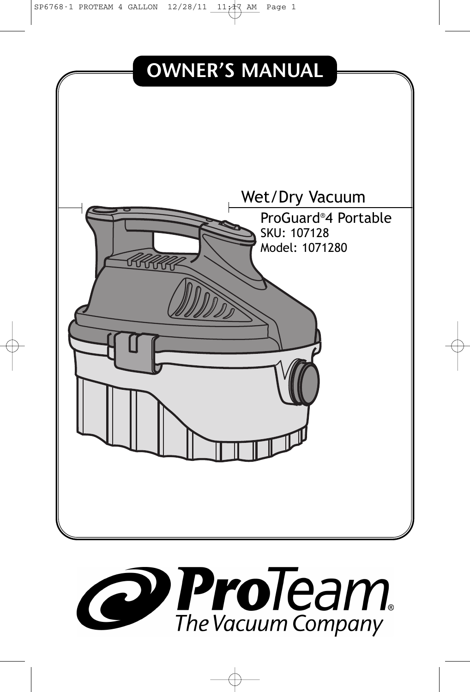SP6768-1 PROTEAM 4 GALLON  $12/28/11$   $11/17$  AM Page 1



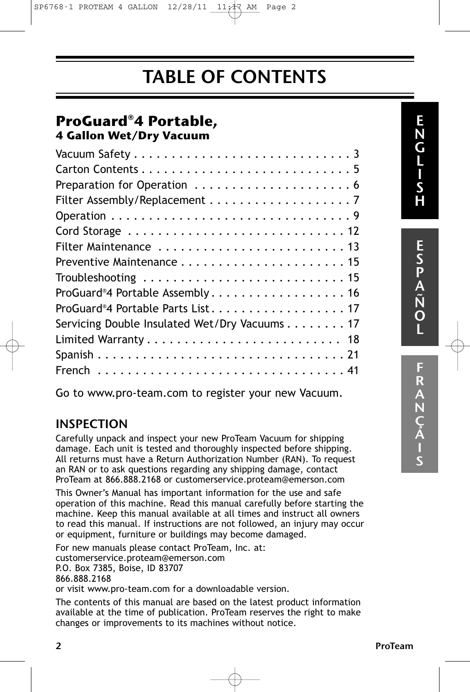SP6768-1 PROTEAM 4 GALLON 12/28/11 11:17 AM Page 2

### TABLE OF CONTENTS

### **ProGuard®4 Portable, 4 Gallon Wet/Dry Vacuum**

| ProGuard®4 Portable Assembly 16               |
|-----------------------------------------------|
| ProGuard®4 Portable Parts List17              |
| Servicing Double Insulated Wet/Dry Vacuums 17 |
|                                               |
|                                               |
|                                               |
|                                               |

Go to www.pro-team.com to register your new Vacuum.

### INSPECTION

Carefully unpack and inspect your new ProTeam Vacuum for shipping damage. Each unit is tested and thoroughly inspected before shipping. All returns must have a Return Authorization Number (RAN). To request an RAN or to ask questions regarding any shipping damage, contact ProTeam at 866.888.2168 or customerservice.proteam@emerson.com

This Owner's Manual has important information for the use and safe operation of this machine. Read this manual carefully before starting the machine. Keep this manual available at all times and instruct all owners to read this manual. If instructions are not followed, an injury may occur or equipment, furniture or buildings may become damaged.

For new manuals please contact ProTeam, Inc. at: customerservice.proteam@emerson.com

P.O. Box 7385, Boise, ID 83707 866.888.2168

or visit www.pro-team.com for a downloadable version.

The contents of this manual are based on the latest product information available at the time of publication. ProTeam reserves the right to make changes or improvements to its machines without notice.

E S P A N˜ O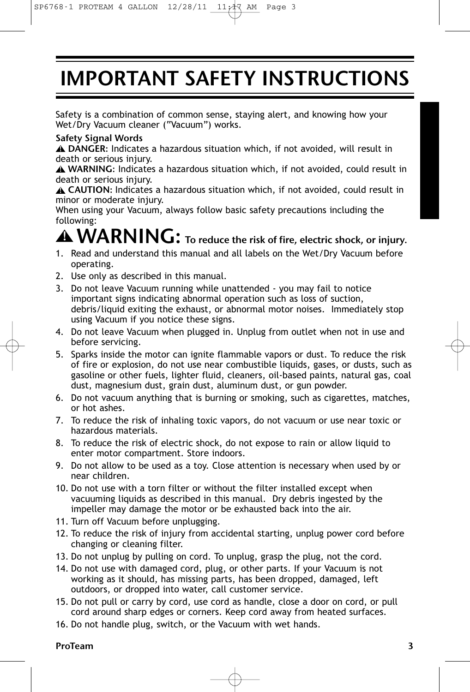# IMPORTANT SAFETY INSTRUCTIONS

Safety is a combination of common sense, staying alert, and knowing how your Wet/Dry Vacuum cleaner ("Vacuum") works.

#### Safety Signal Words

DANGER: Indicates a hazardous situation which, if not avoided, will result in **!** death or serious injury.

WARNING: Indicates a hazardous situation which, if not avoided, could result in **!** death or serious injury.

CAUTION: Indicates a hazardous situation which, if not avoided, could result in **!** minor or moderate injury.

When using your Vacuum, always follow basic safety precautions including the following:

# $\hat{}$  **WARNING:** To reduce the risk of fire, electric shock, or injury.

- 1. Read and understand this manual and all labels on the Wet/Dry Vacuum before operating.
- 2. Use only as described in this manual.
- 3. Do not leave Vacuum running while unattended you may fail to notice important signs indicating abnormal operation such as loss of suction, debris/liquid exiting the exhaust, or abnormal motor noises. Immediately stop using Vacuum if you notice these signs.
- 4. Do not leave Vacuum when plugged in. Unplug from outlet when not in use and before servicing.
- 5. Sparks inside the motor can ignite flammable vapors or dust. To reduce the risk of fire or explosion, do not use near combustible liquids, gases, or dusts, such as gasoline or other fuels, lighter fluid, cleaners, oil-based paints, natural gas, coal dust, magnesium dust, grain dust, aluminum dust, or gun powder.
- 6. Do not vacuum anything that is burning or smoking, such as cigarettes, matches, or hot ashes.
- 7. To reduce the risk of inhaling toxic vapors, do not vacuum or use near toxic or hazardous materials.
- 8. To reduce the risk of electric shock, do not expose to rain or allow liquid to enter motor compartment. Store indoors.
- 9. Do not allow to be used as a toy. Close attention is necessary when used by or near children.
- 10. Do not use with a torn filter or without the filter installed except when vacuuming liquids as described in this manual. Dry debris ingested by the impeller may damage the motor or be exhausted back into the air.
- 11. Turn off Vacuum before unplugging.
- 12. To reduce the risk of injury from accidental starting, unplug power cord before changing or cleaning filter.
- 13. Do not unplug by pulling on cord. To unplug, grasp the plug, not the cord.
- 14. Do not use with damaged cord, plug, or other parts. If your Vacuum is not working as it should, has missing parts, has been dropped, damaged, left outdoors, or dropped into water, call customer service.
- 15. Do not pull or carry by cord, use cord as handle, close a door on cord, or pull cord around sharp edges or corners. Keep cord away from heated surfaces.
- 16. Do not handle plug, switch, or the Vacuum with wet hands.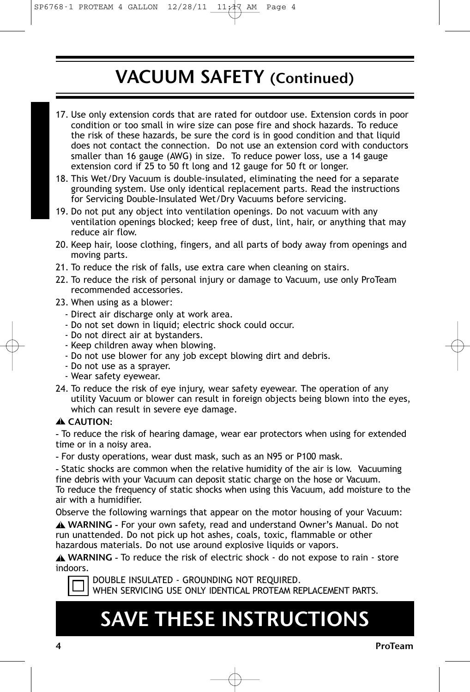## VACUUM SAFETY (Continued)

- 17. Use only extension cords that are rated for outdoor use. Extension cords in poor condition or too small in wire size can pose fire and shock hazards. To reduce the risk of these hazards, be sure the cord is in good condition and that liquid does not contact the connection. Do not use an extension cord with conductors smaller than 16 gauge (AWG) in size. To reduce power loss, use a 14 gauge extension cord if 25 to 50 ft long and 12 gauge for 50 ft or longer.
- 18. This Wet/Dry Vacuum is double-insulated, eliminating the need for a separate grounding system. Use only identical replacement parts. Read the instructions for Servicing Double-Insulated Wet/Dry Vacuums before servicing.
- 19. Do not put any object into ventilation openings. Do not vacuum with any ventilation openings blocked; keep free of dust, lint, hair, or anything that may reduce air flow.
- 20. Keep hair, loose clothing, fingers, and all parts of body away from openings and moving parts.
- 21. To reduce the risk of falls, use extra care when cleaning on stairs.
- 22. To reduce the risk of personal injury or damage to Vacuum, use only ProTeam recommended accessories.
- 23. When using as a blower:
	- Direct air discharge only at work area.
	- Do not set down in liquid; electric shock could occur.
	- Do not direct air at bystanders.
	- Keep children away when blowing.
	- Do not use blower for any job except blowing dirt and debris.
	- Do not use as a sprayer.
	- Wear safety eyewear.
- 24. To reduce the risk of eye injury, wear safety eyewear. The operation of any utility Vacuum or blower can result in foreign objects being blown into the eyes, which can result in severe eye damage.

#### CAUTION: **!**

- To reduce the risk of hearing damage, wear ear protectors when using for extended time or in a noisy area.

- For dusty operations, wear dust mask, such as an N95 or P100 mask.

- Static shocks are common when the relative humidity of the air is low. Vacuuming fine debris with your Vacuum can deposit static charge on the hose or Vacuum. To reduce the frequency of static shocks when using this Vacuum, add moisture to the air with a humidifier.

Observe the following warnings that appear on the motor housing of your Vacuum:

WARNING - For your own safety, read and understand Owner's Manual. Do not **!** run unattended. Do not pick up hot ashes, coals, toxic, flammable or other hazardous materials. Do not use around explosive liquids or vapors.

WARNING - To reduce the risk of electric shock - do not expose to rain - store **!** indoors.



DOUBLE INSULATED - GROUNDING NOT REQUIRED. WHEN SERVICING USE ONLY IDENTICAL PROTEAM REPLACEMENT PARTS.

# SAVE THESE INSTRUCTIONS

4 ProTeam (1999) and the set of the set of the set of the set of the set of the set of the set of the set of the set of the set of the set of the set of the set of the set of the set of the set of the set of the set of the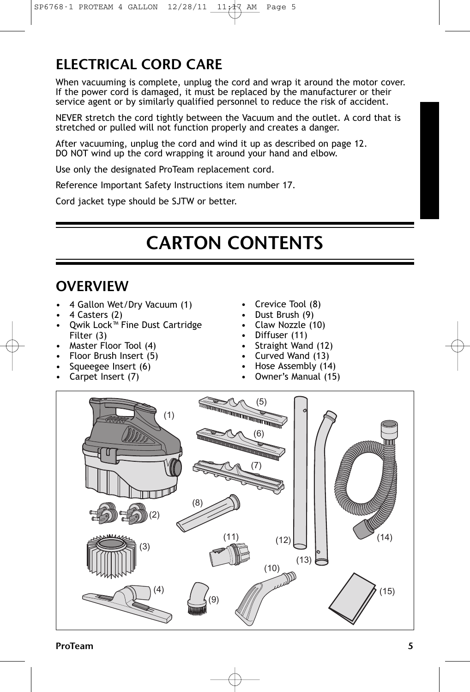### ELECTRICAL CORD CARE

When vacuuming is complete, unplug the cord and wrap it around the motor cover. If the power cord is damaged, it must be replaced by the manufacturer or their service agent or by similarly qualified personnel to reduce the risk of accident.

NEVER stretch the cord tightly between the Vacuum and the outlet. A cord that is stretched or pulled will not function properly and creates a danger.

After vacuuming, unplug the cord and wind it up as described on page 12. DO NOT wind up the cord wrapping it around your hand and elbow.

Use only the designated ProTeam replacement cord.

Reference Important Safety Instructions item number 17.

Cord jacket type should be SJTW or better.

# CARTON CONTENTS

### **OVERVIEW**

- 4 Gallon Wet/Dry Vacuum (1)
- 4 Casters (2)
- Qwik Lock<sup>™</sup> Fine Dust Cartridge Filter (3)
- Master Floor Tool (4)
- Floor Brush Insert (5)
- Squeegee Insert (6)
- Carpet Insert (7)
- Crevice Tool (8)
- Dust Brush (9)
- Claw Nozzle (10)
- Diffuser (11)
- Straight Wand (12)
- Curved Wand (13)
- Hose Assembly (14)
- Owner's Manual (15)

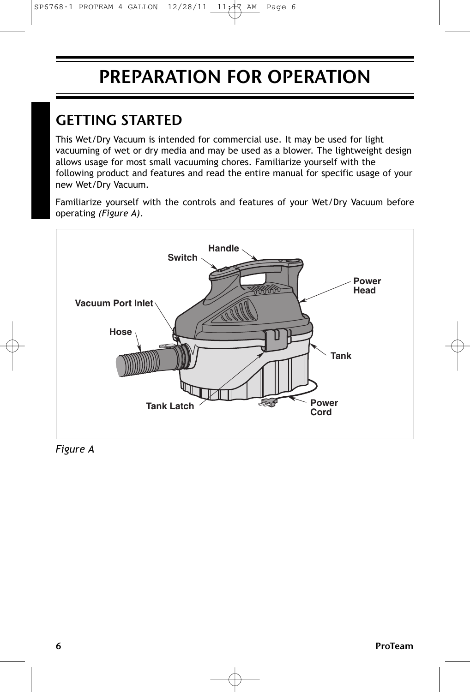## PREPARATION FOR OPERATION

### GETTING STARTED

This Wet/Dry Vacuum is intended for commercial use. It may be used for light vacuuming of wet or dry media and may be used as a blower. The lightweight design allows usage for most small vacuuming chores. Familiarize yourself with the following product and features and read the entire manual for specific usage of your new Wet/Dry Vacuum.

Familiarize yourself with the controls and features of your Wet/Dry Vacuum before operating *(Figure A)*.



*Figure A*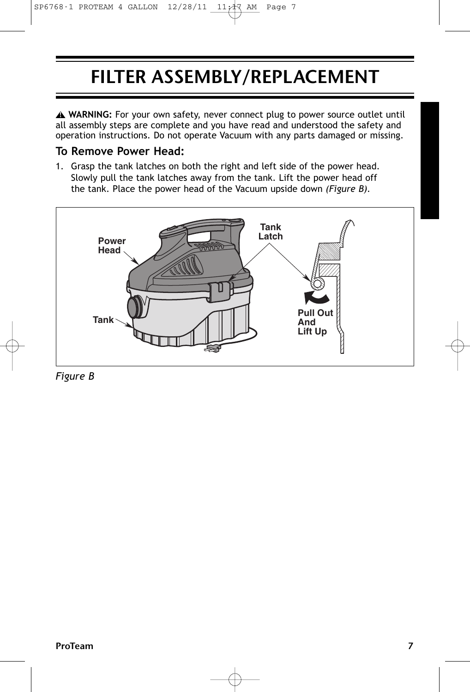# FILTER ASSEMBLY/REPLACEMENT

**WARNING:** For your own safety, never connect plug to power source outlet until **!** all assembly steps are complete and you have read and understood the safety and operation instructions. Do not operate Vacuum with any parts damaged or missing.

### **To Remove Power Head:**

1. Grasp the tank latches on both the right and left side of the power head. Slowly pull the tank latches away from the tank. Lift the power head off the tank. Place the power head of the Vacuum upside down *(Figure B).*



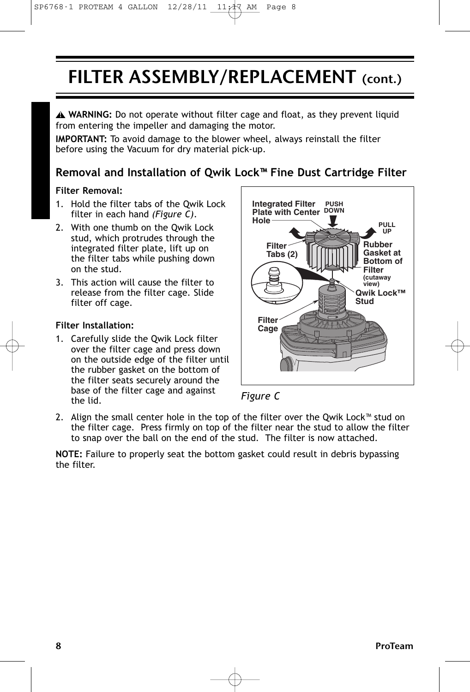## FILTER ASSEMBLY/REPLACEMENT (cont.)

**WARNING:** Do not operate without filter cage and float, as they prevent liquid **!** from entering the impeller and damaging the motor.

**IMPORTANT:** To avoid damage to the blower wheel, always reinstall the filter before using the Vacuum for dry material pick-up.

### **Removal and Installation of Qwik Lock™ Fine Dust Cartridge Filter**

#### **Filter Removal:**

- 1. Hold the filter tabs of the Qwik Lock filter in each hand *(Figure C)*.
- 2. With one thumb on the Qwik Lock stud, which protrudes through the integrated filter plate, lift up on the filter tabs while pushing down on the stud.
- 3. This action will cause the filter to release from the filter cage. Slide filter off cage.

#### **Filter Installation:**

1. Carefully slide the Qwik Lock filter over the filter cage and press down on the outside edge of the filter until the rubber gasket on the bottom of the filter seats securely around the base of the filter cage and against the lid.





2. Align the small center hole in the top of the filter over the Qwik Lock™ stud on the filter cage. Press firmly on top of the filter near the stud to allow the filter to snap over the ball on the end of the stud. The filter is now attached.

**NOTE:** Failure to properly seat the bottom gasket could result in debris bypassing the filter.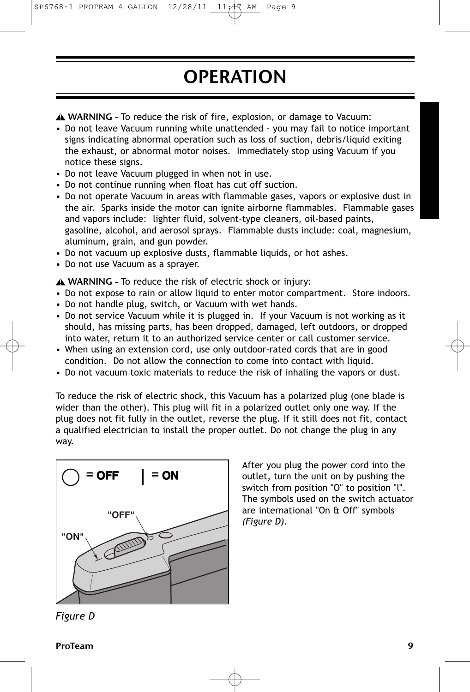### SP6768-1 PROTEAM 4 GALLON 12/28/11 11:17 AM Page 9

# **OPERATION**

WARNING - To reduce the risk of fire, explosion, or damage to Vacuum: **!**

- Do not leave Vacuum running while unattended you may fail to notice important signs indicating abnormal operation such as loss of suction, debris/liquid exiting the exhaust, or abnormal motor noises. Immediately stop using Vacuum if you notice these signs.
- Do not leave Vacuum plugged in when not in use.
- Do not continue running when float has cut off suction.
- Do not operate Vacuum in areas with flammable gases, vapors or explosive dust in the air. Sparks inside the motor can ignite airborne flammables. Flammable gases and vapors include: lighter fluid, solvent-type cleaners, oil-based paints, gasoline, alcohol, and aerosol sprays. Flammable dusts include: coal, magnesium, aluminum, grain, and gun powder.
- Do not vacuum up explosive dusts, flammable liquids, or hot ashes.
- Do not use Vacuum as a sprayer.

WARNING - To reduce the risk of electric shock or injury: **!**

- Do not expose to rain or allow liquid to enter motor compartment. Store indoors.
- Do not handle plug, switch, or Vacuum with wet hands.
- Do not service Vacuum while it is plugged in. If your Vacuum is not working as it should, has missing parts, has been dropped, damaged, left outdoors, or dropped into water, return it to an authorized service center or call customer service.
- When using an extension cord, use only outdoor-rated cords that are in good condition. Do not allow the connection to come into contact with liquid.
- Do not vacuum toxic materials to reduce the risk of inhaling the vapors or dust.

To reduce the risk of electric shock, this Vacuum has a polarized plug (one blade is wider than the other). This plug will fit in a polarized outlet only one way. If the plug does not fit fully in the outlet, reverse the plug. If it still does not fit, contact a qualified electrician to install the proper outlet. Do not change the plug in any way.



After you plug the power cord into the outlet, turn the unit on by pushing the switch from position "O" to position "l". The symbols used on the switch actuator are international "On & Off" symbols *(Figure D)*.

*Figure D*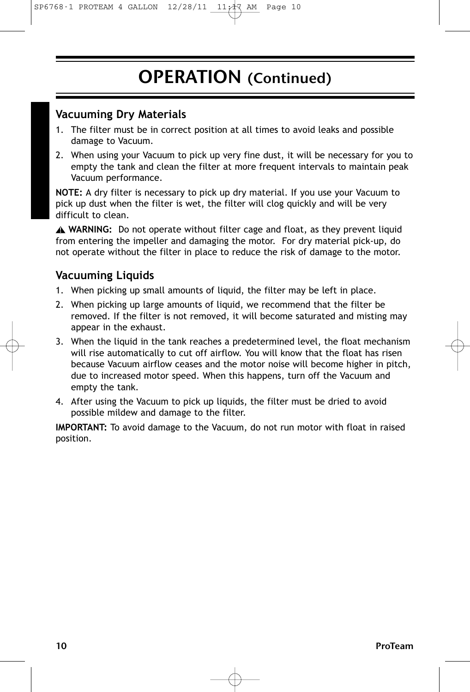$SP6768-1$  PROTEAM 4 GALLON  $12/28/11$   $11/47$  AM Page

### OPERATION (Continued)

### **Vacuuming Dry Materials**

- 1. The filter must be in correct position at all times to avoid leaks and possible damage to Vacuum.
- 2. When using your Vacuum to pick up very fine dust, it will be necessary for you to empty the tank and clean the filter at more frequent intervals to maintain peak Vacuum performance.

**NOTE:** A dry filter is necessary to pick up dry material. If you use your Vacuum to pick up dust when the filter is wet, the filter will clog quickly and will be very difficult to clean.

**WARNING:** Do not operate without filter cage and float, as they prevent liquid **!** from entering the impeller and damaging the motor. For dry material pick-up, do not operate without the filter in place to reduce the risk of damage to the motor.

### **Vacuuming Liquids**

- 1. When picking up small amounts of liquid, the filter may be left in place.
- 2. When picking up large amounts of liquid, we recommend that the filter be removed. If the filter is not removed, it will become saturated and misting may appear in the exhaust.
- 3. When the liquid in the tank reaches a predetermined level, the float mechanism will rise automatically to cut off airflow. You will know that the float has risen because Vacuum airflow ceases and the motor noise will become higher in pitch, due to increased motor speed. When this happens, turn off the Vacuum and empty the tank.
- 4. After using the Vacuum to pick up liquids, the filter must be dried to avoid possible mildew and damage to the filter.

**IMPORTANT:** To avoid damage to the Vacuum, do not run motor with float in raised position.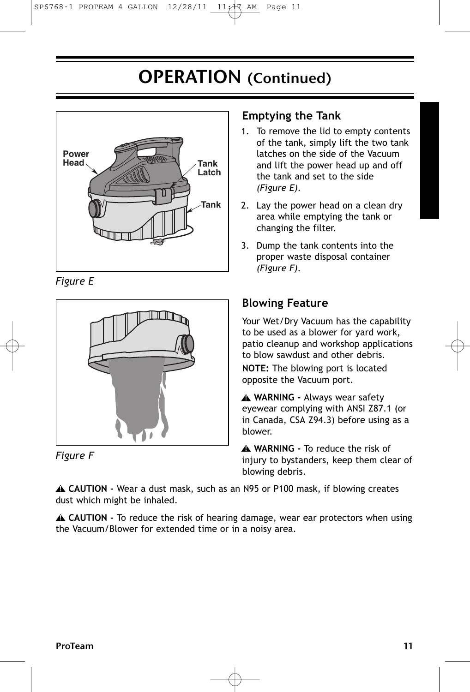### OPERATION (Continued)



*Figure E*



*Figure F*

### **Emptying the Tank**

- 1. To remove the lid to empty contents of the tank, simply lift the two tank latches on the side of the Vacuum and lift the power head up and off the tank and set to the side *(Figure E).*
- 2. Lay the power head on a clean dry area while emptying the tank or changing the filter.
- 3. Dump the tank contents into the proper waste disposal container *(Figure F).*

### **Blowing Feature**

Your Wet/Dry Vacuum has the capability to be used as a blower for yard work, patio cleanup and workshop applications to blow sawdust and other debris.

**NOTE:** The blowing port is located opposite the Vacuum port.

**WARNING -** Always wear safety **!** eyewear complying with ANSI Z87.1 (or in Canada, CSA Z94.3) before using as a blower.

**WARNING -** To reduce the risk of **!** injury to bystanders, keep them clear of blowing debris.

**CAUTION -** Wear a dust mask, such as an N95 or P100 mask, if blowing creates **!** dust which might be inhaled.

**CAUTION -** To reduce the risk of hearing damage, wear ear protectors when using **!** the Vacuum/Blower for extended time or in a noisy area.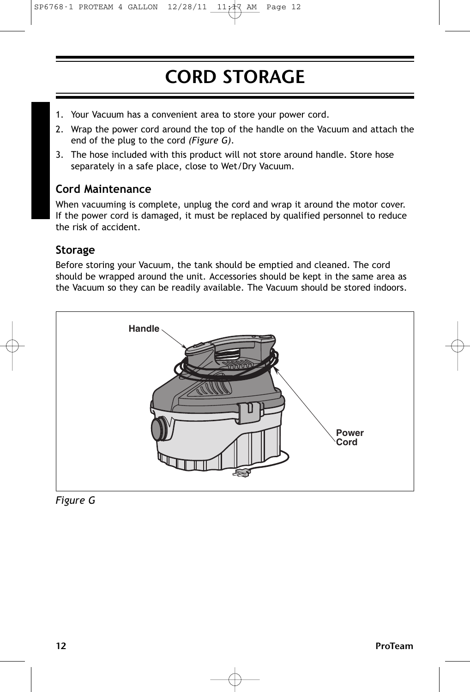# CORD STORAGE

- 1. Your Vacuum has a convenient area to store your power cord.
- 2. Wrap the power cord around the top of the handle on the Vacuum and attach the end of the plug to the cord *(Figure G)*.
- 3. The hose included with this product will not store around handle. Store hose separately in a safe place, close to Wet/Dry Vacuum.

### **Cord Maintenance**

When vacuuming is complete, unplug the cord and wrap it around the motor cover. If the power cord is damaged, it must be replaced by qualified personnel to reduce the risk of accident.

### **Storage**

Before storing your Vacuum, the tank should be emptied and cleaned. The cord should be wrapped around the unit. Accessories should be kept in the same area as the Vacuum so they can be readily available. The Vacuum should be stored indoors.



*Figure G*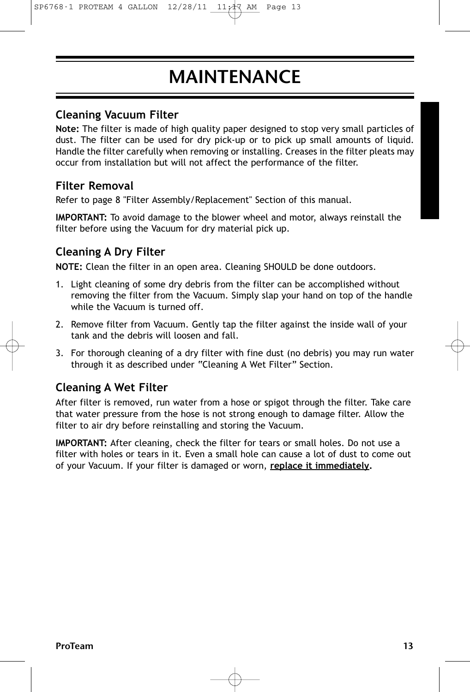## MAINTENANCE

### **Cleaning Vacuum Filter**

**Note:** The filter is made of high quality paper designed to stop very small particles of dust. The filter can be used for dry pick-up or to pick up small amounts of liquid. Handle the filter carefully when removing or installing. Creases in the filter pleats may occur from installation but will not affect the performance of the filter.

### **Filter Removal**

Refer to page 8 "Filter Assembly/Replacement" Section of this manual.

**IMPORTANT:** To avoid damage to the blower wheel and motor, always reinstall the filter before using the Vacuum for dry material pick up.

### **Cleaning A Dry Filter**

**NOTE:** Clean the filter in an open area. Cleaning SHOULD be done outdoors.

- 1. Light cleaning of some dry debris from the filter can be accomplished without removing the filter from the Vacuum. Simply slap your hand on top of the handle while the Vacuum is turned off.
- 2. Remove filter from Vacuum. Gently tap the filter against the inside wall of your tank and the debris will loosen and fall.
- 3. For thorough cleaning of a dry filter with fine dust (no debris) you may run water through it as described under "Cleaning A Wet Filter" Section.

### **Cleaning A Wet Filter**

After filter is removed, run water from a hose or spigot through the filter. Take care that water pressure from the hose is not strong enough to damage filter. Allow the filter to air dry before reinstalling and storing the Vacuum.

**IMPORTANT:** After cleaning, check the filter for tears or small holes. Do not use a filter with holes or tears in it. Even a small hole can cause a lot of dust to come out of your Vacuum. If your filter is damaged or worn, **replace it immediately.**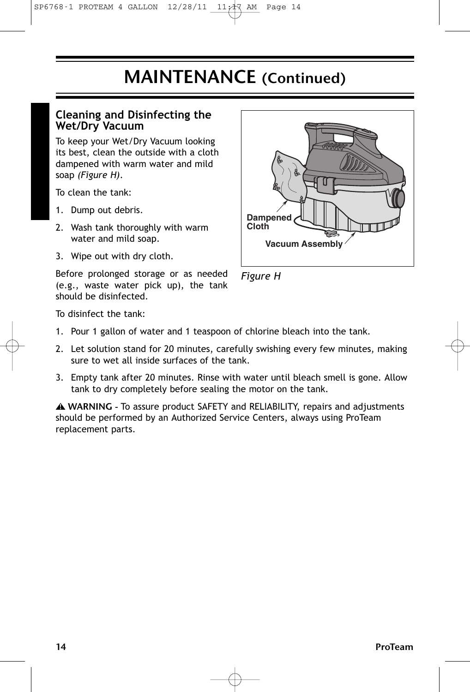### MAINTENANCE (Continued)

### **Cleaning and Disinfecting the Wet/Dry Vacuum**

To keep your Wet/Dry Vacuum looking its best, clean the outside with a cloth dampened with warm water and mild soap *(Figure H)*.

To clean the tank:

- 1. Dump out debris.
- 2. Wash tank thoroughly with warm water and mild soap.
- 3. Wipe out with dry cloth.

Before prolonged storage or as needed (e.g., waste water pick up), the tank should be disinfected.



*Figure H*

To disinfect the tank:

- 1. Pour 1 gallon of water and 1 teaspoon of chlorine bleach into the tank.
- 2. Let solution stand for 20 minutes, carefully swishing every few minutes, making sure to wet all inside surfaces of the tank.
- 3. Empty tank after 20 minutes. Rinse with water until bleach smell is gone. Allow tank to dry completely before sealing the motor on the tank.

WARNING - To assure product SAFETY and RELIABILITY, repairs and adjustments **!** should be performed by an Authorized Service Centers, always using ProTeam replacement parts.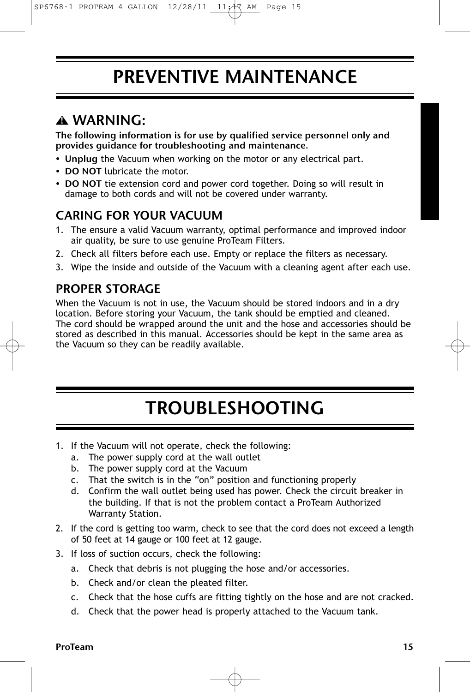### PREVENTIVE MAINTENANCE

### WARNING: **!**

The following information is for use by qualified service personnel only and provides guidance for troubleshooting and maintenance.

- Unplug the Vacuum when working on the motor or any electrical part.
- DO NOT lubricate the motor.
- DO NOT tie extension cord and power cord together. Doing so will result in damage to both cords and will not be covered under warranty.

### CARING FOR YOUR VACUUM

- 1. The ensure a valid Vacuum warranty, optimal performance and improved indoor air quality, be sure to use genuine ProTeam Filters.
- 2. Check all filters before each use. Empty or replace the filters as necessary.
- 3. Wipe the inside and outside of the Vacuum with a cleaning agent after each use.

### PROPER STORAGE

When the Vacuum is not in use, the Vacuum should be stored indoors and in a dry location. Before storing your Vacuum, the tank should be emptied and cleaned. The cord should be wrapped around the unit and the hose and accessories should be stored as described in this manual. Accessories should be kept in the same area as the Vacuum so they can be readily available.

# TROUBLESHOOTING

- 1. If the Vacuum will not operate, check the following:
	- a. The power supply cord at the wall outlet
	- b. The power supply cord at the Vacuum
	- c. That the switch is in the "on" position and functioning properly
	- d. Confirm the wall outlet being used has power. Check the circuit breaker in the building. If that is not the problem contact a ProTeam Authorized Warranty Station.
- 2. If the cord is getting too warm, check to see that the cord does not exceed a length of 50 feet at 14 gauge or 100 feet at 12 gauge.
- 3. If loss of suction occurs, check the following:
	- a. Check that debris is not plugging the hose and/or accessories.
	- b. Check and/or clean the pleated filter.
	- c. Check that the hose cuffs are fitting tightly on the hose and are not cracked.
	- d. Check that the power head is properly attached to the Vacuum tank.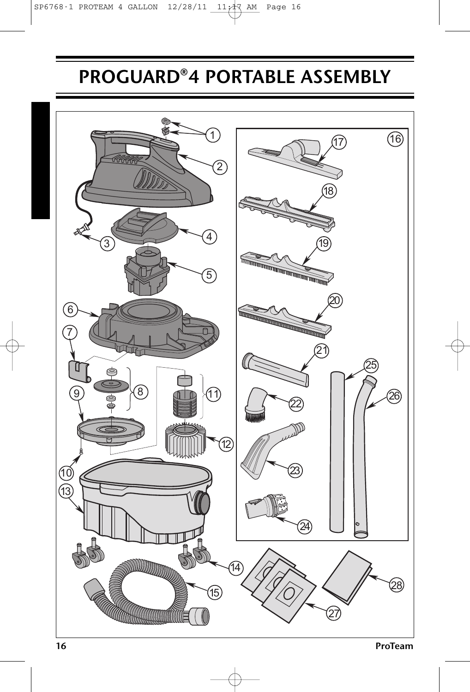# PROGUARD®4 PORTABLE ASSEMBLY

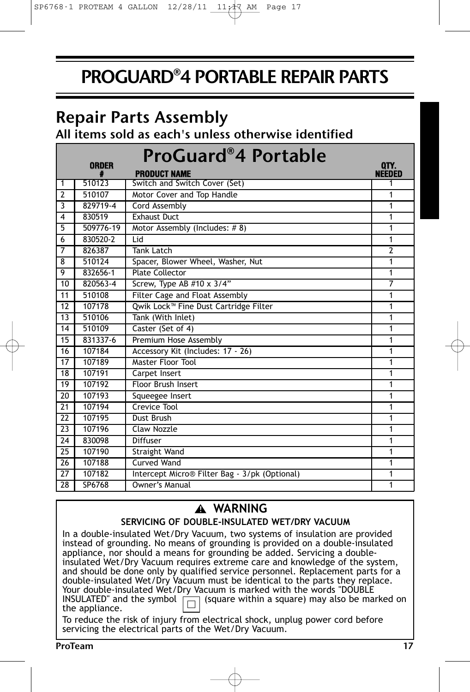## PROGUARD®4 PORTABLE REPAIR PARTS

### Repair Parts Assembly

All items sold as each's unless otherwise identified

|                 | <b>ORDER</b> | <b>ProGuard®4 Portable</b><br><b>PRODUCT NAME</b> | QTY.<br><b>NEEDED</b> |
|-----------------|--------------|---------------------------------------------------|-----------------------|
| $\mathbf{1}$    | 510123       | Switch and Switch Cover (Set)                     | 1                     |
| $\overline{2}$  | 510107       | Motor Cover and Top Handle                        | 1                     |
| 3               | 829719-4     | <b>Cord Assembly</b>                              | 1                     |
| $\overline{4}$  | 830519       | <b>Exhaust Duct</b>                               | 1                     |
| $\overline{5}$  | 509776-19    | Motor Assembly (Includes: #8)                     | 1                     |
| 6               | 830520-2     | $\overline{\mathsf{I}}$ id                        | 1                     |
| $\overline{7}$  | 826387       | Tank Latch                                        | $\overline{2}$        |
| 8               | 510124       | Spacer, Blower Wheel, Washer, Nut                 | 1                     |
| 9               | 832656-1     | <b>Plate Collector</b>                            | 1                     |
| 10              | 820563-4     | Screw, Type AB $#10 \times 3/4"$                  | $\overline{7}$        |
| 11              | 510108       | Filter Cage and Float Assembly                    | 1                     |
| 12              | 107178       | Qwik Lock <sup>™</sup> Fine Dust Cartridge Filter | 1                     |
| 13              | 510106       | Tank (With Inlet)                                 | 1                     |
| 14              | 510109       | Caster (Set of 4)                                 | 1                     |
| 15              | 831337-6     | Premium Hose Assembly                             | 1                     |
| 16              | 107184       | Accessory Kit (Includes: 17 - 26)                 | 1                     |
| 17              | 107189       | Master Floor Tool                                 | 1                     |
| 18              | 107191       | Carpet Insert                                     | 1                     |
| 19              | 107192       | <b>Floor Brush Insert</b>                         | 1                     |
| 20              | 107193       | Squeegee Insert                                   | 1                     |
| $\overline{21}$ | 107194       | Crevice Tool                                      | 1                     |
| 22              | 107195       | Dust Brush                                        | 1                     |
| $\overline{23}$ | 107196       | Claw Nozzle                                       | 1                     |
| $\overline{24}$ | 830098       | Diffuser                                          | 1                     |
| 25              | 107190       | Straight Wand                                     | 1                     |
| 26              | 107188       | Curved Wand                                       | 1                     |
| 27              | 107182       | Intercept Micro® Filter Bag - 3/pk (Optional)     | 1                     |
| 28              | SP6768       | Owner's Manual                                    | 1                     |

### **WARNING !**

### **SERVICING OF DOUBLE-INSULATED WET/DRY VACUUM**

In a double-insulated Wet/Dry Vacuum, two systems of insulation are provided instead of grounding. No means of grounding is provided on a double-insulated appliance, nor should a means for grounding be added. Servicing a doubleinsulated Wet/Dry Vacuum requires extreme care and knowledge of the system, and should be done only by qualified service personnel. Replacement parts for a double-insulated Wet/Dry Vacuum must be identical to the parts they replace. Your double-insulated Wet/Dry Vacuum is marked with the words "DOUBLE INSULATED" and the symbol  $\Box$  (square within a square) may also be marked on the appliance.

To reduce the risk of injury from electrical shock, unplug power cord before servicing the electrical parts of the Wet/Dry Vacuum.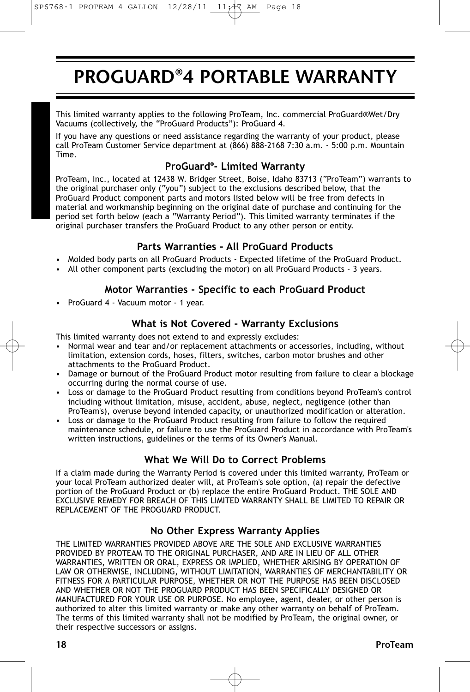# PROGUARD®4 PORTABLE WARRANTY

This limited warranty applies to the following ProTeam, Inc. commercial ProGuard®Wet/Dry Vacuums (collectively, the "ProGuard Products"): ProGuard 4.

If you have any questions or need assistance regarding the warranty of your product, please call ProTeam Customer Service department at (866) 888-2168 7:30 a.m. - 5:00 p.m. Mountain Time.

### **ProGuard® - Limited Warranty**

ProTeam, Inc., located at 12438 W. Bridger Street, Boise, Idaho 83713 ("ProTeam") warrants to the original purchaser only ("you") subject to the exclusions described below, that the ProGuard Product component parts and motors listed below will be free from defects in material and workmanship beginning on the original date of purchase and continuing for the period set forth below (each a "Warranty Period"). This limited warranty terminates if the original purchaser transfers the ProGuard Product to any other person or entity.

### **Parts Warranties - All ProGuard Products**

- Molded body parts on all ProGuard Products Expected lifetime of the ProGuard Product.
- All other component parts (excluding the motor) on all ProGuard Products 3 years.

#### **Motor Warranties - Specific to each ProGuard Product**

• ProGuard 4 - Vacuum motor - 1 year.

### **What is Not Covered - Warranty Exclusions**

This limited warranty does not extend to and expressly excludes:

- Normal wear and tear and/or replacement attachments or accessories, including, without limitation, extension cords, hoses, filters, switches, carbon motor brushes and other attachments to the ProGuard Product.
- Damage or burnout of the ProGuard Product motor resulting from failure to clear a blockage occurring during the normal course of use.
- Loss or damage to the ProGuard Product resulting from conditions beyond ProTeam's control including without limitation, misuse, accident, abuse, neglect, negligence (other than ProTeam's), overuse beyond intended capacity, or unauthorized modification or alteration.
- Loss or damage to the ProGuard Product resulting from failure to follow the required maintenance schedule, or failure to use the ProGuard Product in accordance with ProTeam's written instructions, guidelines or the terms of its Owner's Manual.

### **What We Will Do to Correct Problems**

If a claim made during the Warranty Period is covered under this limited warranty, ProTeam or your local ProTeam authorized dealer will, at ProTeam's sole option, (a) repair the defective portion of the ProGuard Product or (b) replace the entire ProGuard Product. THE SOLE AND EXCLUSIVE REMEDY FOR BREACH OF THIS LIMITED WARRANTY SHALL BE LIMITED TO REPAIR OR REPLACEMENT OF THE PROGUARD PRODUCT.

#### **No Other Express Warranty Applies**

THE LIMITED WARRANTIES PROVIDED ABOVE ARE THE SOLE AND EXCLUSIVE WARRANTIES PROVIDED BY PROTEAM TO THE ORIGINAL PURCHASER, AND ARE IN LIEU OF ALL OTHER WARRANTIES, WRITTEN OR ORAL, EXPRESS OR IMPLIED, WHETHER ARISING BY OPERATION OF LAW OR OTHERWISE, INCLUDING, WITHOUT LIMITATION, WARRANTIES OF MERCHANTABILITY OR FITNESS FOR A PARTICULAR PURPOSE, WHETHER OR NOT THE PURPOSE HAS BEEN DISCLOSED AND WHETHER OR NOT THE PROGUARD PRODUCT HAS BEEN SPECIFICALLY DESIGNED OR MANUFACTURED FOR YOUR USE OR PURPOSE. No employee, agent, dealer, or other person is authorized to alter this limited warranty or make any other warranty on behalf of ProTeam. The terms of this limited warranty shall not be modified by ProTeam, the original owner, or their respective successors or assigns.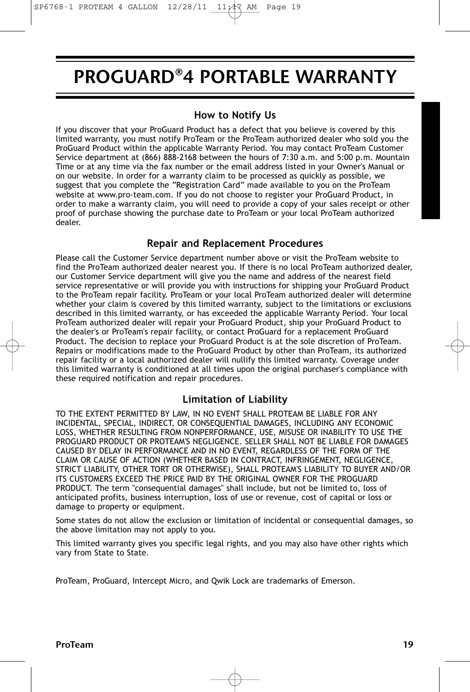### PROGUARD®4 PORTABLE WARRANTY

#### **How to Notify Us**

If you discover that your ProGuard Product has a defect that you believe is covered by this limited warranty, you must notify ProTeam or the ProTeam authorized dealer who sold you the ProGuard Product within the applicable Warranty Period. You may contact ProTeam Customer Service department at (866) 888-2168 between the hours of 7:30 a.m. and 5:00 p.m. Mountain Time or at any time via the fax number or the email address listed in your Owner's Manual or on our website. In order for a warranty claim to be processed as quickly as possible, we suggest that you complete the "Registration Card" made available to you on the ProTeam website at www.pro-team.com. If you do not choose to register your ProGuard Product, in order to make a warranty claim, you will need to provide a copy of your sales receipt or other proof of purchase showing the purchase date to ProTeam or your local ProTeam authorized dealer.

#### **Repair and Replacement Procedures**

Please call the Customer Service department number above or visit the ProTeam website to find the ProTeam authorized dealer nearest you. If there is no local ProTeam authorized dealer, our Customer Service department will give you the name and address of the nearest field service representative or will provide you with instructions for shipping your ProGuard Product to the ProTeam repair facility. ProTeam or your local ProTeam authorized dealer will determine whether your claim is covered by this limited warranty, subject to the limitations or exclusions described in this limited warranty, or has exceeded the applicable Warranty Period. Your local ProTeam authorized dealer will repair your ProGuard Product, ship your ProGuard Product to the dealer's or ProTeam's repair facility, or contact ProGuard for a replacement ProGuard Product. The decision to replace your ProGuard Product is at the sole discretion of ProTeam. Repairs or modifications made to the ProGuard Product by other than ProTeam, its authorized repair facility or a local authorized dealer will nullify this limited warranty. Coverage under this limited warranty is conditioned at all times upon the original purchaser's compliance with these required notification and repair procedures.

#### **Limitation of Liability**

TO THE EXTENT PERMITTED BY LAW, IN NO EVENT SHALL PROTEAM BE LIABLE FOR ANY INCIDENTAL, SPECIAL, INDIRECT, OR CONSEQUENTIAL DAMAGES, INCLUDING ANY ECONOMIC LOSS, WHETHER RESULTING FROM NONPERFORMANCE, USE, MISUSE OR INABILITY TO USE THE PROGUARD PRODUCT OR PROTEAM'S NEGLIGENCE. SELLER SHALL NOT BE LIABLE FOR DAMAGES CAUSED BY DELAY IN PERFORMANCE AND IN NO EVENT, REGARDLESS OF THE FORM OF THE CLAIM OR CAUSE OF ACTION (WHETHER BASED IN CONTRACT, INFRINGEMENT, NEGLIGENCE, STRICT LIABILITY, OTHER TORT OR OTHERWISE), SHALL PROTEAM'S LIABILITY TO BUYER AND/OR ITS CUSTOMERS EXCEED THE PRICE PAID BY THE ORIGINAL OWNER FOR THE PROGUARD PRODUCT. The term "consequential damages" shall include, but not be limited to, loss of anticipated profits, business interruption, loss of use or revenue, cost of capital or loss or damage to property or equipment.

Some states do not allow the exclusion or limitation of incidental or consequential damages, so the above limitation may not apply to you.

This limited warranty gives you specific legal rights, and you may also have other rights which vary from State to State.

ProTeam, ProGuard, Intercept Micro, and Qwik Lock are trademarks of Emerson.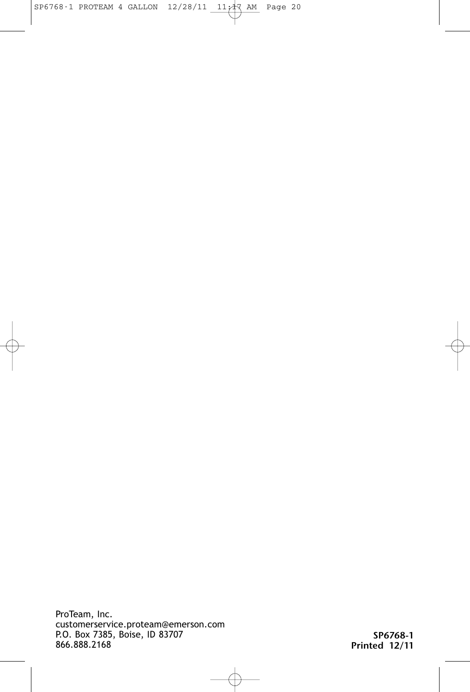ProTeam, Inc. customerservice.proteam@emerson.com P.O. Box 7385, Boise, ID 83707 866.888.2168

SP6768-1 Printed 12/11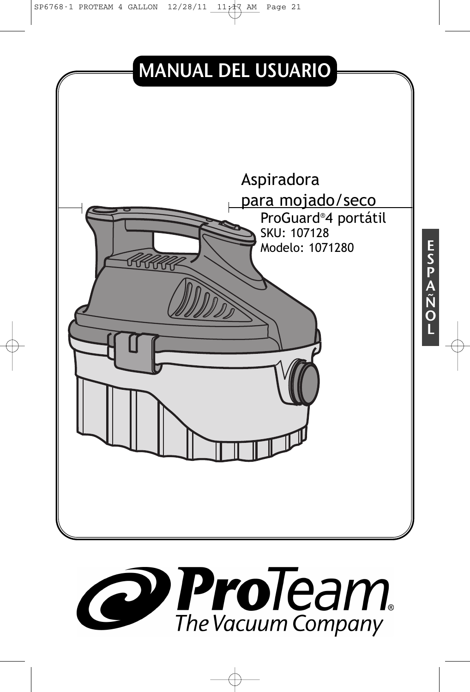SP6768-1 PROTEAM 4 GALLON  $12/28/11$   $11/17$  AM Page 21



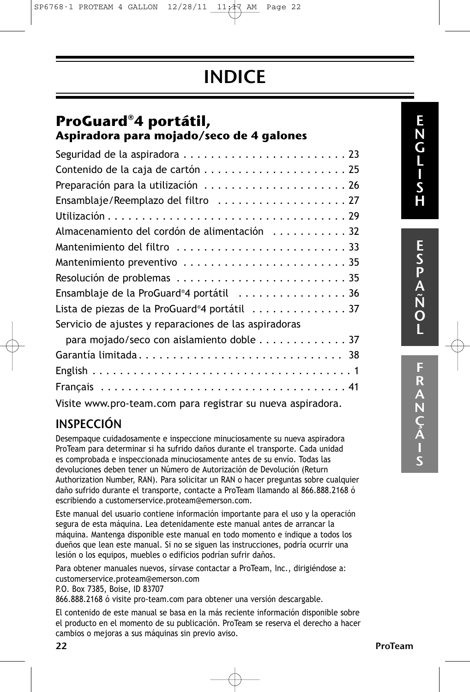SP6768-1 PROTEAM 4 GALLON  $12/28/11$   $11/17$  AM Page 22

# INDICE

### **ProGuard®4 portátil, Aspiradora para mojado/seco de 4 galones**

| Preparación para la utilización 26                          |
|-------------------------------------------------------------|
| Ensamblaje/Reemplazo del filtro 27                          |
|                                                             |
| Almacenamiento del cordón de alimentación 32                |
| Mantenimiento del filtro 33                                 |
| Mantenimiento preventivo 35                                 |
|                                                             |
| Ensamblaje de la ProGuard®4 portátil 36                     |
| Lista de piezas de la ProGuard®4 portátil 37                |
| Servicio de ajustes y reparaciones de las aspiradoras       |
| para mojado/seco con aislamiento doble 37                   |
| Garantía limitada 38                                        |
|                                                             |
|                                                             |
| Visite www.pro-team.com para registrar su nueva aspiradora. |

### INSPECCIÓN

Desempaque cuidadosamente e inspeccione minuciosamente su nueva aspiradora ProTeam para determinar si ha sufrido daños durante el transporte. Cada unidad es comprobada e inspeccionada minuciosamente antes de su envío. Todas las devoluciones deben tener un Número de Autorización de Devolución (Return Authorization Number, RAN). Para solicitar un RAN o hacer preguntas sobre cualquier daño sufrido durante el transporte, contacte a ProTeam llamando al 866.888.2168 ó escribiendo a customerservice.proteam@emerson.com.

Este manual del usuario contiene información importante para el uso y la operación segura de esta máquina. Lea detenidamente este manual antes de arrancar la máquina. Mantenga disponible este manual en todo momento e indique a todos los dueños que lean este manual. Si no se siguen las instrucciones, podría ocurrir una lesión o los equipos, muebles o edificios podrían sufrir daños.

Para obtener manuales nuevos, sírvase contactar a ProTeam, Inc., dirigiéndose a: customerservice.proteam@emerson.com

P.O. Box 7385, Boise, ID 83707

866.888.2168 ó visite pro-team.com para obtener una versión descargable.

El contenido de este manual se basa en la más reciente información disponible sobre el producto en el momento de su publicación. ProTeam se reserva el derecho a hacer cambios o mejoras a sus máquinas sin previo aviso.

E S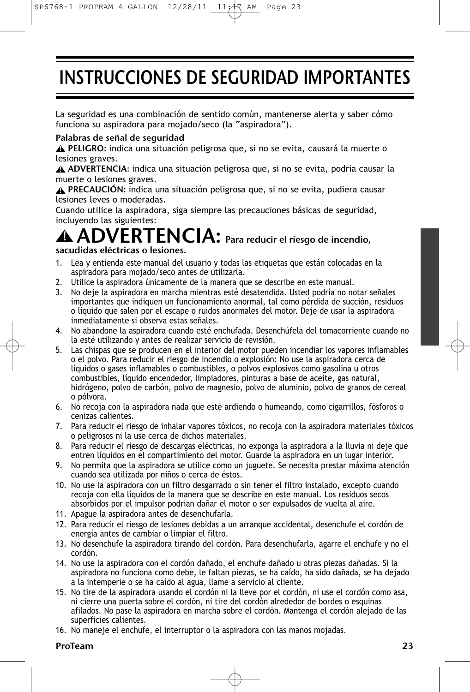# INSTRUCCIONES DE SEGURIDAD IMPORTANTES

La seguridad es una combinación de sentido común, mantenerse alerta y saber cómo funciona su aspiradora para mojado/seco (la "aspiradora").

#### Palabras de señal de seguridad

PELIGRO: indica una situación peligrosa que, si no se evita, causará la muerte o **!** lesiones graves.

ADVERTENCIA: indica una situación peligrosa que, si no se evita, podría causar la **!** muerte o lesiones graves.

PRECAUCIÓN: indica una situación peligrosa que, si no se evita, pudiera causar **!** lesiones leves o moderadas.

Cuando utilice la aspiradora, siga siempre las precauciones básicas de seguridad, incluyendo las siguientes:

#### ADVERTENCIA: Para reducir el riesgo de incendio, sacudidas eléctricas o lesiones. **!**

- 1. Lea y entienda este manual del usuario y todas las etiquetas que están colocadas en la aspiradora para mojado/seco antes de utilizarla.
- 2. Utilice la aspiradora únicamente de la manera que se describe en este manual.
- 3. No deje la aspiradora en marcha mientras esté desatendida. Usted podría no notar señales importantes que indiquen un funcionamiento anormal, tal como pérdida de succión, residuos o líquido que salen por el escape o ruidos anormales del motor. Deje de usar la aspiradora inmediatamente si observa estas señales.
- 4. No abandone la aspiradora cuando esté enchufada. Desenchúfela del tomacorriente cuando no la esté utilizando y antes de realizar servicio de revisión.
- 5. Las chispas que se producen en el interior del motor pueden incendiar los vapores inflamables o el polvo. Para reducir el riesgo de incendio o explosión: No use la aspiradora cerca de líquidos o gases inflamables o combustibles, o polvos explosivos como gasolina u otros combustibles, líquido encendedor, limpiadores, pinturas a base de aceite, gas natural, hidrógeno, polvo de carbón, polvo de magnesio, polvo de aluminio, polvo de granos de cereal o pólvora.
- 6. No recoja con la aspiradora nada que esté ardiendo o humeando, como cigarrillos, fósforos o cenizas calientes.
- 7. Para reducir el riesgo de inhalar vapores tóxicos, no recoja con la aspiradora materiales tóxicos o peligrosos ni la use cerca de dichos materiales.
- 8. Para reducir el riesgo de descargas eléctricas, no exponga la aspiradora a la lluvia ni deje que entren líquidos en el compartimiento del motor. Guarde la aspiradora en un lugar interior.
- 9. No permita que la aspiradora se utilice como un juguete. Se necesita prestar máxima atención cuando sea utilizada por niños o cerca de éstos.
- 10. No use la aspiradora con un filtro desgarrado o sin tener el filtro instalado, excepto cuando recoja con ella líquidos de la manera que se describe en este manual. Los residuos secos absorbidos por el impulsor podrían dañar el motor o ser expulsados de vuelta al aire.
- 11. Apague la aspiradora antes de desenchufarla.
- 12. Para reducir el riesgo de lesiones debidas a un arranque accidental, desenchufe el cordón de energía antes de cambiar o limpiar el filtro.
- 13. No desenchufe la aspiradora tirando del cordón. Para desenchufarla, agarre el enchufe y no el cordón.
- 14. No use la aspiradora con el cordón dañado, el enchufe dañado u otras piezas dañadas. Si la aspiradora no funciona como debe, le faltan piezas, se ha caído, ha sido dañada, se ha dejado a la intemperie o se ha caído al agua, llame a servicio al cliente.
- 15. No tire de la aspiradora usando el cordón ni la lleve por el cordón, ni use el cordón como asa, ni cierre una puerta sobre el cordón, ni tire del cordón alrededor de bordes o esquinas afilados. No pase la aspiradora en marcha sobre el cordón. Mantenga el cordón alejado de las superficies calientes.
- 16. No maneje el enchufe, el interruptor o la aspiradora con las manos mojadas.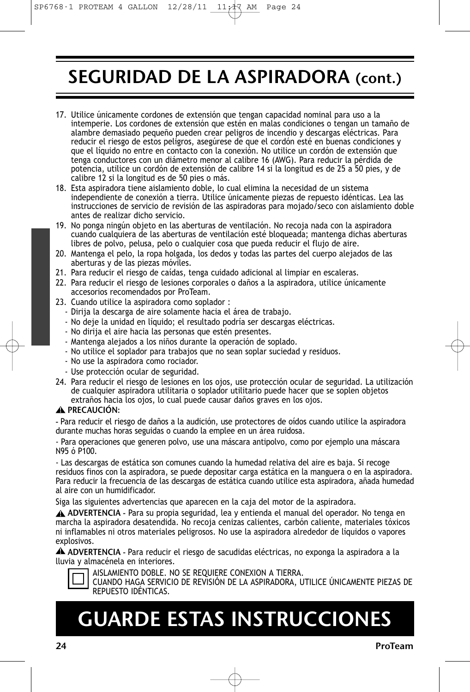## SEGURIDAD DE LA ASPIRADORA (cont.)

- 17. Utilice únicamente cordones de extensión que tengan capacidad nominal para uso a la intemperie. Los cordones de extensión que estén en malas condiciones o tengan un tamaño de alambre demasiado pequeño pueden crear peligros de incendio y descargas eléctricas. Para reducir el riesgo de estos peligros, asegúrese de que el cordón esté en buenas condiciones y que el líquido no entre en contacto con la conexión. No utilice un cordón de extensión que tenga conductores con un diámetro menor al calibre 16 (AWG). Para reducir la pérdida de potencia, utilice un cordón de extensión de calibre 14 si la longitud es de 25 a 50 pies, y de calibre 12 si la longitud es de 50 pies o más.
- 18. Esta aspiradora tiene aislamiento doble, lo cual elimina la necesidad de un sistema independiente de conexión a tierra. Utilice únicamente piezas de repuesto idénticas. Lea las instrucciones de servicio de revisión de las aspiradoras para mojado/seco con aislamiento doble antes de realizar dicho servicio.
- 19. No ponga ningún objeto en las aberturas de ventilación. No recoja nada con la aspiradora cuando cualquiera de las aberturas de ventilación esté bloqueada; mantenga dichas aberturas libres de polvo, pelusa, pelo o cualquier cosa que pueda reducir el flujo de aire.
- 20. Mantenga el pelo, la ropa holgada, los dedos y todas las partes del cuerpo alejados de las aberturas y de las piezas móviles.
- 21. Para reducir el riesgo de caídas, tenga cuidado adicional al limpiar en escaleras.
- 22. Para reducir el riesgo de lesiones corporales o daños a la aspiradora, utilice únicamente accesorios recomendados por ProTeam.
- 23. Cuando utilice la aspiradora como soplador :
	- Dirija la descarga de aire solamente hacia el área de trabajo.
	- No deje la unidad en líquido; el resultado podría ser descargas eléctricas.
	- No dirija el aire hacia las personas que estén presentes.
	- Mantenga alejados a los niños durante la operación de soplado.
	- No utilice el soplador para trabajos que no sean soplar suciedad y residuos.
	- No use la aspiradora como rociador.
	- Use protección ocular de seguridad.
- 24. Para reducir el riesgo de lesiones en los ojos, use protección ocular de seguridad. La utilización de cualquier aspiradora utilitaria o soplador utilitario puede hacer que se soplen objetos extraños hacia los ojos, lo cual puede causar daños graves en los ojos.

#### PRECAUCIÓN: **!**

- Para reducir el riesgo de daños a la audición, use protectores de oídos cuando utilice la aspiradora durante muchas horas seguidas o cuando la emplee en un área ruidosa.

- Para operaciones que generen polvo, use una máscara antipolvo, como por ejemplo una máscara N95 ó P100.

- Las descargas de estática son comunes cuando la humedad relativa del aire es baja. Si recoge residuos finos con la aspiradora, se puede depositar carga estática en la manguera o en la aspiradora. Para reducir la frecuencia de las descargas de estática cuando utilice esta aspiradora, añada humedad al aire con un humidificador.

Siga las siguientes advertencias que aparecen en la caja del motor de la aspiradora.

ADVERTENCIA - Para su propia seguridad, lea y entienda el manual del operador. No tenga en **!** marcha la aspiradora desatendida. No recoja cenizas calientes, carbón caliente, materiales tóxicos ni inflamables ni otros materiales peligrosos. No use la aspiradora alrededor de líquidos o vapores explosivos.

ADVERTENCIA - Para reducir el riesgo de sacudidas eléctricas, no exponga la aspiradora a la **!** lluvia y almacénela en interiores.



AISLAMIENTO DOBLE. NO SE REQUIERE CONEXION A TIERRA. CUANDO HAGA SERVICIO DE REVISIÓN DE LA ASPIRADORA, UTILICE ÚNICAMENTE PIEZAS DE REPUESTO IDÉNTICAS.

# GUARDE ESTAS INSTRUCCIONES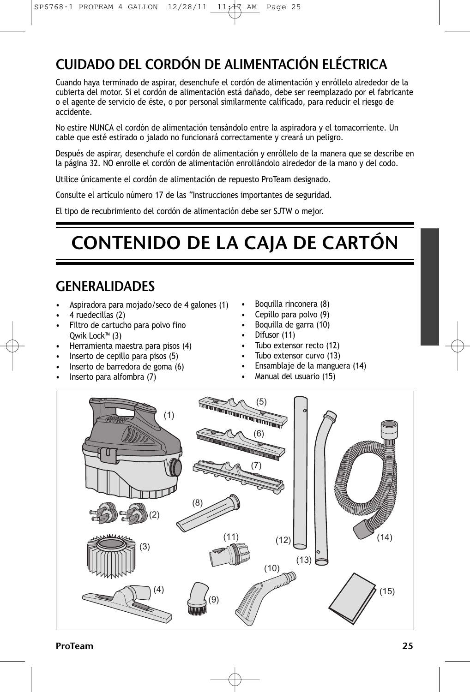### CUIDADO DEL CORDÓN DE ALIMENTACIÓN ELÉCTRICA

Cuando haya terminado de aspirar, desenchufe el cordón de alimentación y enróllelo alrededor de la cubierta del motor. Si el cordón de alimentación está dañado, debe ser reemplazado por el fabricante o el agente de servicio de éste, o por personal similarmente calificado, para reducir el riesgo de accidente.

No estire NUNCA el cordón de alimentación tensándolo entre la aspiradora y el tomacorriente. Un cable que esté estirado o jalado no funcionará correctamente y creará un peligro.

Después de aspirar, desenchufe el cordón de alimentación y enróllelo de la manera que se describe en la página 32. NO enrolle el cordón de alimentación enrollándolo alrededor de la mano y del codo.

Utilice únicamente el cordón de alimentación de repuesto ProTeam designado.

Consulte el artículo número 17 de las "Instrucciones importantes de seguridad.

El tipo de recubrimiento del cordón de alimentación debe ser SJTW o mejor.

# CONTENIDO DE LA CAJA DE CARTÓN

### GENERALIDADES

- Aspiradora para mojado/seco de 4 galones (1)
- 4 ruedecillas (2)
- Filtro de cartucho para polvo fino Qwik Lock™ (3)
- Herramienta maestra para pisos (4)
- Inserto de cepillo para pisos (5)
- Inserto de barredora de goma (6)
- Inserto para alfombra (7)
- Boquilla rinconera (8)
- Cepillo para polvo (9)
- Boquilla de garra (10)
- Difusor (11)
- Tubo extensor recto (12)
- Tubo extensor curvo (13)
- Ensamblaje de la manguera (14)
- Manual del usuario (15)

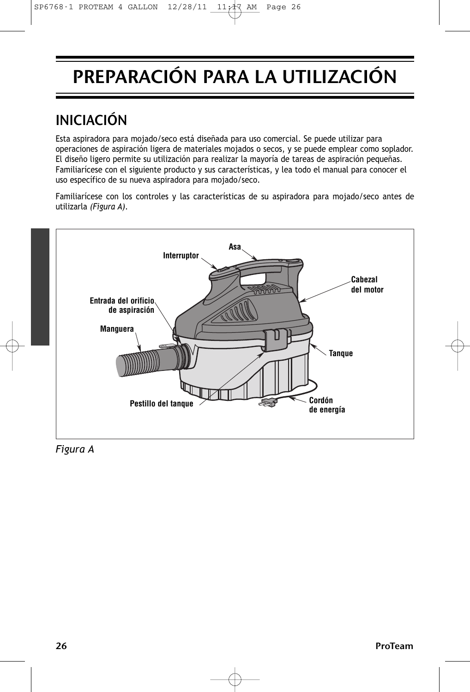# PREPARACIÓN PARA LA UTILIZACIÓN

### INICIACIÓN

Esta aspiradora para mojado/seco está diseñada para uso comercial. Se puede utilizar para operaciones de aspiración ligera de materiales mojados o secos, y se puede emplear como soplador. El diseño ligero permite su utilización para realizar la mayoría de tareas de aspiración pequeñas. Familiarícese con el siguiente producto y sus características, y lea todo el manual para conocer el uso específico de su nueva aspiradora para mojado/seco.

Familiarícese con los controles y las características de su aspiradora para mojado/seco antes de utilizarla *(Figura A)*.



*Figura A*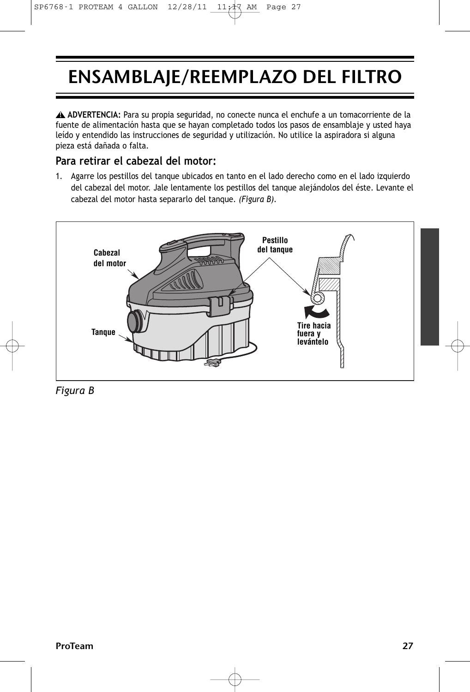# ENSAMBLAJE/REEMPLAZO DEL FILTRO

**ADVERTENCIA:** Para su propia seguridad, no conecte nunca el enchufe a un tomacorriente de la **!** fuente de alimentación hasta que se hayan completado todos los pasos de ensamblaje y usted haya leído y entendido las instrucciones de seguridad y utilización. No utilice la aspiradora si alguna pieza está dañada o falta.

### **Para retirar el cabezal del motor:**

1. Agarre los pestillos del tanque ubicados en tanto en el lado derecho como en el lado izquierdo del cabezal del motor. Jale lentamente los pestillos del tanque alejándolos del éste. Levante el cabezal del motor hasta separarlo del tanque. *(Figura B).*



*Figura B*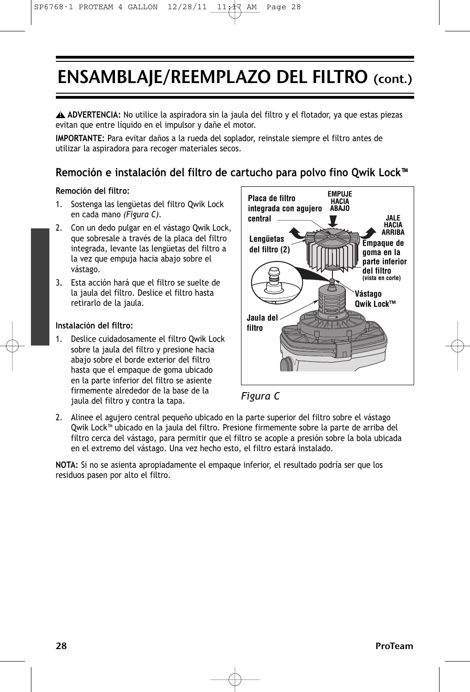## ENSAMBLAJE/REEMPLAZO DEL FILTRO (cont.)

**ADVERTENCIA:** No utilice la aspiradora sin la jaula del filtro y el flotador, ya que estas piezas **!** evitan que entre líquido en el impulsor y dañe el motor.

**IMPORTANTE:** Para evitar daños a la rueda del soplador, reinstale siempre el filtro antes de utilizar la aspiradora para recoger materiales secos.

### **Remoción e instalación del filtro de cartucho para polvo fino Qwik Lock™**

#### **Remoción del filtro:**

- 1. Sostenga las lengüetas del filtro Qwik Lock en cada mano *(Figura C)*.
- 2. Con un dedo pulgar en el vástago Qwik Lock, que sobresale a través de la placa del filtro integrada, levante las lengüetas del filtro a la vez que empuja hacia abajo sobre el vástago.
- 3. Esta acción hará que el filtro se suelte de la jaula del filtro. Deslice el filtro hasta retirarlo de la jaula.

#### **Instalación del filtro:**

1. Deslice cuidadosamente el filtro Qwik Lock sobre la jaula del filtro y presione hacia abajo sobre el borde exterior del filtro hasta que el empaque de goma ubicado en la parte inferior del filtro se asiente firmemente alrededor de la base de la jaula del filtro y contra la tapa.





2. Alinee el agujero central pequeño ubicado en la parte superior del filtro sobre el vástago Qwik Lock™ ubicado en la jaula del filtro. Presione firmemente sobre la parte de arriba del filtro cerca del vástago, para permitir que el filtro se acople a presión sobre la bola ubicada en el extremo del vástago. Una vez hecho esto, el filtro estará instalado.

**NOTA:** Si no se asienta apropiadamente el empaque inferior, el resultado podría ser que los residuos pasen por alto el filtro.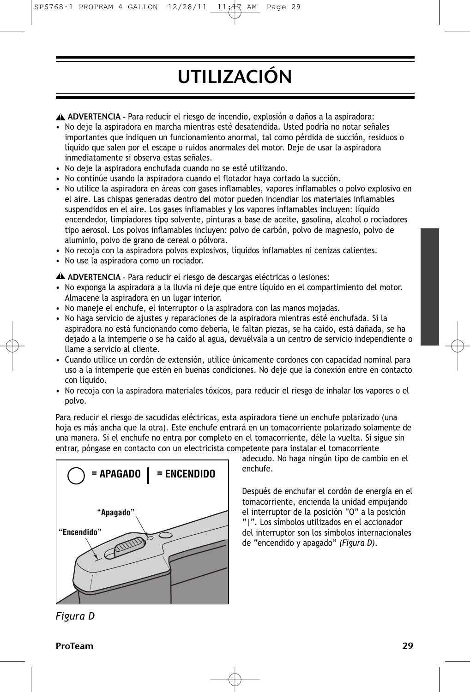# UTILIZACIÓN

ADVERTENCIA - Para reducir el riesgo de incendio, explosión o daños a la aspiradora: **!**

- No deje la aspiradora en marcha mientras esté desatendida. Usted podría no notar señales importantes que indiquen un funcionamiento anormal, tal como pérdida de succión, residuos o líquido que salen por el escape o ruidos anormales del motor. Deje de usar la aspiradora inmediatamente si observa estas señales.
- No deje la aspiradora enchufada cuando no se esté utilizando.
- No continúe usando la aspiradora cuando el flotador haya cortado la succión.
- No utilice la aspiradora en áreas con gases inflamables, vapores inflamables o polvo explosivo en el aire. Las chispas generadas dentro del motor pueden incendiar los materiales inflamables suspendidos en el aire. Los gases inflamables y los vapores inflamables incluyen: líquido encendedor, limpiadores tipo solvente, pinturas a base de aceite, gasolina, alcohol o rociadores tipo aerosol. Los polvos inflamables incluyen: polvo de carbón, polvo de magnesio, polvo de aluminio, polvo de grano de cereal o pólvora.
- No recoja con la aspiradora polvos explosivos, líquidos inflamables ni cenizas calientes.
- No use la aspiradora como un rociador.

ADVERTENCIA - Para reducir el riesgo de descargas eléctricas o lesiones: **!**

- No exponga la aspiradora a la lluvia ni deje que entre líquido en el compartimiento del motor. Almacene la aspiradora en un lugar interior.
- No maneje el enchufe, el interruptor o la aspiradora con las manos mojadas.
- No haga servicio de ajustes y reparaciones de la aspiradora mientras esté enchufada. Si la aspiradora no está funcionando como debería, le faltan piezas, se ha caído, está dañada, se ha dejado a la intemperie o se ha caído al agua, devuélvala a un centro de servicio independiente o llame a servicio al cliente.
- Cuando utilice un cordón de extensión, utilice únicamente cordones con capacidad nominal para uso a la intemperie que estén en buenas condiciones. No deje que la conexión entre en contacto con líquido.
- No recoja con la aspiradora materiales tóxicos, para reducir el riesgo de inhalar los vapores o el polvo.

Para reducir el riesgo de sacudidas eléctricas, esta aspiradora tiene un enchufe polarizado (una hoja es más ancha que la otra). Este enchufe entrará en un tomacorriente polarizado solamente de una manera. Si el enchufe no entra por completo en el tomacorriente, déle la vuelta. Si sigue sin entrar, póngase en contacto con un electricista competente para instalar el tomacorriente



adecudo. No haga ningún tipo de cambio en el enchufe.

Después de enchufar el cordón de energía en el tomacorriente, encienda la unidad empujando el interruptor de la posición "O" a la posición "|". Los símbolos utilizados en el accionador del interruptor son los símbolos internacionales de "encendido y apagado" *(Figura D)*.

*Figura D*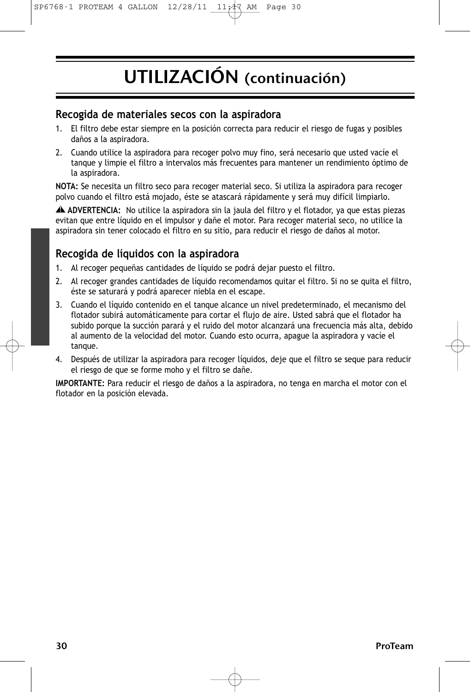# UTILIZACIÓN (continuación)

### **Recogida de materiales secos con la aspiradora**

- 1. El filtro debe estar siempre en la posición correcta para reducir el riesgo de fugas y posibles daños a la aspiradora.
- 2. Cuando utilice la aspiradora para recoger polvo muy fino, será necesario que usted vacíe el tanque y limpie el filtro a intervalos más frecuentes para mantener un rendimiento óptimo de la aspiradora.

**NOTA:** Se necesita un filtro seco para recoger material seco. Si utiliza la aspiradora para recoger polvo cuando el filtro está mojado, éste se atascará rápidamente y será muy difícil limpiarlo.

**ADVERTENCIA:** No utilice la aspiradora sin la jaula del filtro y el flotador, ya que estas piezas **!** evitan que entre líquido en el impulsor y dañe el motor. Para recoger material seco, no utilice la aspiradora sin tener colocado el filtro en su sitio, para reducir el riesgo de daños al motor.

### **Recogida de líquidos con la aspiradora**

- 1. Al recoger pequeñas cantidades de líquido se podrá dejar puesto el filtro.
- 2. Al recoger grandes cantidades de líquido recomendamos quitar el filtro. Si no se quita el filtro, éste se saturará y podrá aparecer niebla en el escape.
- 3. Cuando el líquido contenido en el tanque alcance un nivel predeterminado, el mecanismo del flotador subirá automáticamente para cortar el flujo de aire. Usted sabrá que el flotador ha subido porque la succión parará y el ruido del motor alcanzará una frecuencia más alta, debido al aumento de la velocidad del motor. Cuando esto ocurra, apague la aspiradora y vacíe el tanque.
- 4. Después de utilizar la aspiradora para recoger líquidos, deje que el filtro se seque para reducir el riesgo de que se forme moho y el filtro se dañe.

**IMPORTANTE:** Para reducir el riesgo de daños a la aspiradora, no tenga en marcha el motor con el flotador en la posición elevada.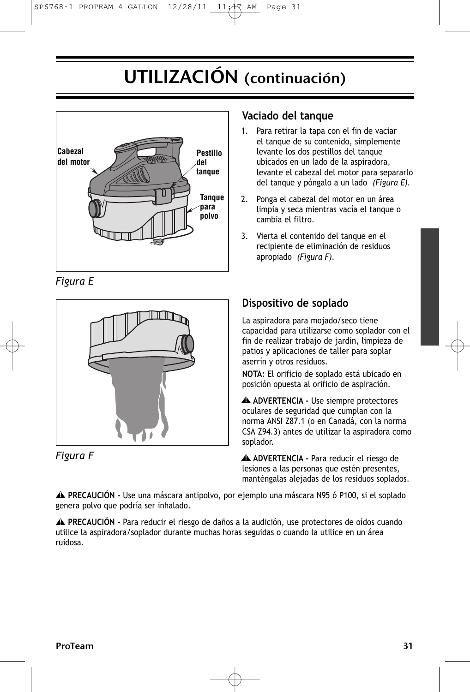# UTILIZACIÓN (continuación)



*Figura E*





### **Vaciado del tanque**

- 1. Para retirar la tapa con el fin de vaciar el tanque de su contenido, simplemente levante los dos pestillos del tanque ubicados en un lado de la aspiradora, levante el cabezal del motor para separarlo del tanque y póngalo a un lado *(Figura E).*
- 2. Ponga el cabezal del motor en un área limpia y seca mientras vacía el tanque o cambia el filtro.
- 3. Vierta el contenido del tanque en el recipiente de eliminación de residuos apropiado *(Figura F).*

### **Dispositivo de soplado**

La aspiradora para mojado/seco tiene capacidad para utilizarse como soplador con el fin de realizar trabajo de jardín, limpieza de patios y aplicaciones de taller para soplar aserrín y otros residuos.

**NOTA:** El orificio de soplado está ubicado en posición opuesta al orificio de aspiración.

**ADVERTENCIA -** Use siempre protectores **!** oculares de seguridad que cumplan con la norma ANSI Z87.1 (o en Canadá, con la norma CSA Z94.3) antes de utilizar la aspiradora como soplador.

**ADVERTENCIA -** Para reducir el riesgo de **!** lesiones a las personas que estén presentes, manténgalas alejadas de los residuos soplados.

**PRECAUCIÓN -** Use una máscara antipolvo, por ejemplo una máscara N95 ó P100, si el soplado **!** genera polvo que podría ser inhalado.

**PRECAUCIÓN -** Para reducir el riesgo de daños a la audición, use protectores de oídos cuando **!** utilice la aspiradora/soplador durante muchas horas seguidas o cuando la utilice en un área ruidosa.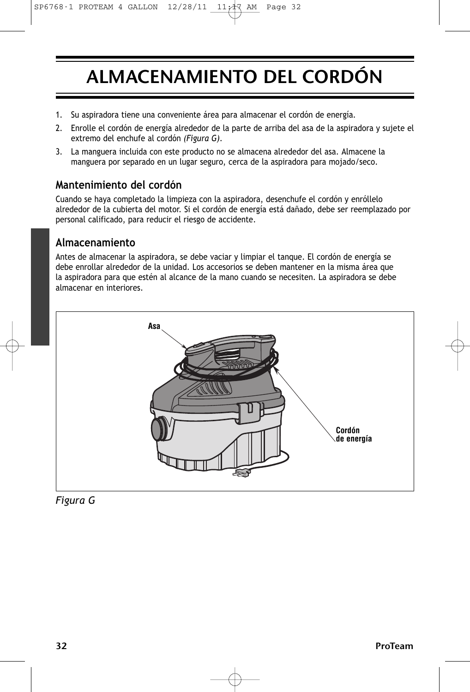# ALMACENAMIENTO DEL CORDÓN

- 1. Su aspiradora tiene una conveniente área para almacenar el cordón de energía.
- 2. Enrolle el cordón de energía alrededor de la parte de arriba del asa de la aspiradora y sujete el extremo del enchufe al cordón *(Figura G)*.
- 3. La manguera incluida con este producto no se almacena alrededor del asa. Almacene la manguera por separado en un lugar seguro, cerca de la aspiradora para mojado/seco.

### **Mantenimiento del cordón**

Cuando se haya completado la limpieza con la aspiradora, desenchufe el cordón y enróllelo alrededor de la cubierta del motor. Si el cordón de energía está dañado, debe ser reemplazado por personal calificado, para reducir el riesgo de accidente.

### **Almacenamiento**

Antes de almacenar la aspiradora, se debe vaciar y limpiar el tanque. El cordón de energía se debe enrollar alrededor de la unidad. Los accesorios se deben mantener en la misma área que la aspiradora para que estén al alcance de la mano cuando se necesiten. La aspiradora se debe almacenar en interiores.



*Figura G*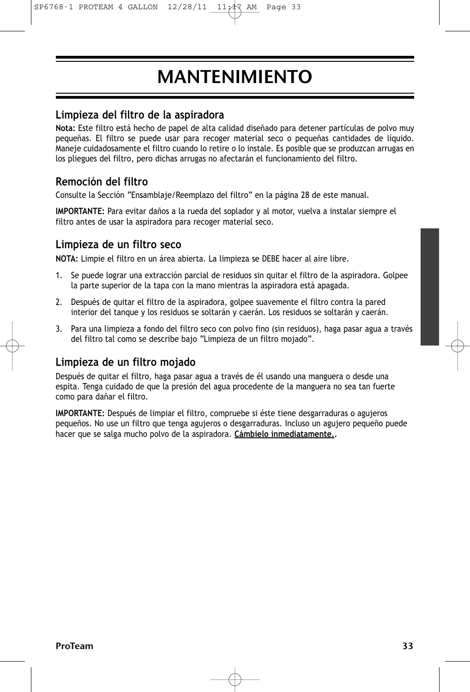# MANTENIMIENTO

### **Limpieza del filtro de la aspiradora**

**Nota:** Este filtro está hecho de papel de alta calidad diseñado para detener partículas de polvo muy pequeñas. El filtro se puede usar para recoger material seco o pequeñas cantidades de líquido. Maneje cuidadosamente el filtro cuando lo retire o lo instale. Es posible que se produzcan arrugas en los pliegues del filtro, pero dichas arrugas no afectarán el funcionamiento del filtro.

### **Remoción del filtro**

Consulte la Sección "Ensamblaje/Reemplazo del filtro" en la página 28 de este manual.

**IMPORTANTE:** Para evitar daños a la rueda del soplador y al motor, vuelva a instalar siempre el filtro antes de usar la aspiradora para recoger material seco.

### **Limpieza de un filtro seco**

**NOTA:** Limpie el filtro en un área abierta. La limpieza se DEBE hacer al aire libre.

- 1. Se puede lograr una extracción parcial de residuos sin quitar el filtro de la aspiradora. Golpee la parte superior de la tapa con la mano mientras la aspiradora está apagada.
- 2. Después de quitar el filtro de la aspiradora, golpee suavemente el filtro contra la pared interior del tanque y los residuos se soltarán y caerán. Los residuos se soltarán y caerán.
- 3. Para una limpieza a fondo del filtro seco con polvo fino (sin residuos), haga pasar agua a través del filtro tal como se describe bajo "Limpieza de un filtro mojado".

### **Limpieza de un filtro mojado**

Después de quitar el filtro, haga pasar agua a través de él usando una manguera o desde una espita. Tenga cuidado de que la presión del agua procedente de la manguera no sea tan fuerte como para dañar el filtro.

**IMPORTANTE:** Después de limpiar el filtro, compruebe si éste tiene desgarraduras o agujeros pequeños. No use un filtro que tenga agujeros o desgarraduras. Incluso un agujero pequeño puede hacer que se salga mucho polvo de la aspiradora. **Cámbielo inmediatamente..**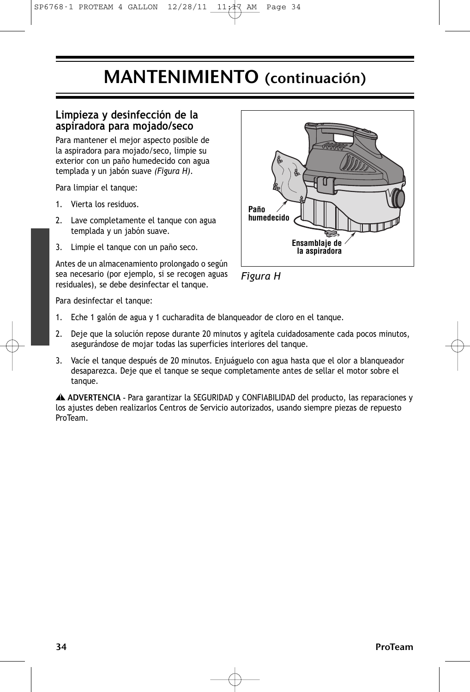### MANTENIMIENTO (continuación)

#### **Limpieza y desinfección de la aspiradora para mojado/seco**

Para mantener el mejor aspecto posible de la aspiradora para mojado/seco, limpie su exterior con un paño humedecido con agua templada y un jabón suave *(Figura H)*.

Para limpiar el tanque:

- 1. Vierta los residuos.
- 2. Lave completamente el tanque con agua templada y un jabón suave.
- 3. Limpie el tanque con un paño seco.

Antes de un almacenamiento prolongado o según sea necesario (por ejemplo, si se recogen aguas residuales), se debe desinfectar el tanque.





Para desinfectar el tanque:

- 1. Eche 1 galón de agua y 1 cucharadita de blanqueador de cloro en el tanque.
- 2. Deje que la solución repose durante 20 minutos y agítela cuidadosamente cada pocos minutos, asegurándose de mojar todas las superficies interiores del tanque.
- 3. Vacíe el tanque después de 20 minutos. Enjuáguelo con agua hasta que el olor a blanqueador desaparezca. Deje que el tanque se seque completamente antes de sellar el motor sobre el tanque.

ADVERTENCIA - Para garantizar la SEGURIDAD y CONFIABILIDAD del producto, las reparaciones y **!** los ajustes deben realizarlos Centros de Servicio autorizados, usando siempre piezas de repuesto ProTeam.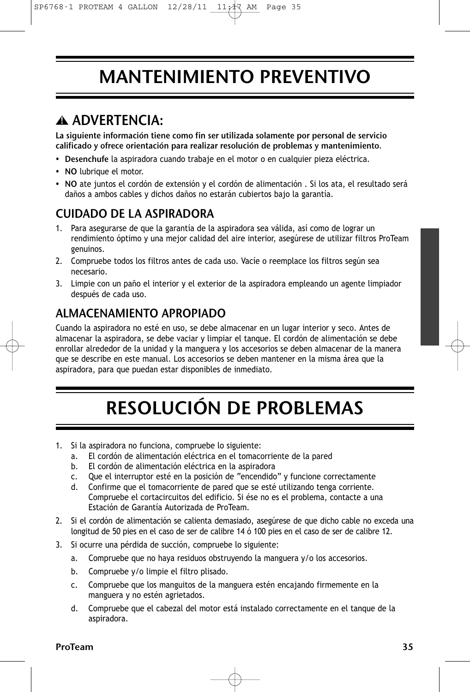## MANTENIMIENTO PREVENTIVO

### ADVERTENCIA: **!**

La siguiente información tiene como fin ser utilizada solamente por personal de servicio calificado y ofrece orientación para realizar resolución de problemas y mantenimiento.

- Desenchufe la aspiradora cuando trabaje en el motor o en cualquier pieza eléctrica.
- NO lubrique el motor.
- NO ate juntos el cordón de extensión y el cordón de alimentación . Si los ata, el resultado será daños a ambos cables y dichos daños no estarán cubiertos bajo la garantía.

### CUIDADO DE LA ASPIRADORA

- 1. Para asegurarse de que la garantía de la aspiradora sea válida, así como de lograr un rendimiento óptimo y una mejor calidad del aire interior, asegúrese de utilizar filtros ProTeam genuinos.
- 2. Compruebe todos los filtros antes de cada uso. Vacíe o reemplace los filtros según sea necesario.
- 3. Limpie con un paño el interior y el exterior de la aspiradora empleando un agente limpiador después de cada uso.

### ALMACENAMIENTO APROPIADO

Cuando la aspiradora no esté en uso, se debe almacenar en un lugar interior y seco. Antes de almacenar la aspiradora, se debe vaciar y limpiar el tanque. El cordón de alimentación se debe enrollar alrededor de la unidad y la manguera y los accesorios se deben almacenar de la manera que se describe en este manual. Los accesorios se deben mantener en la misma área que la aspiradora, para que puedan estar disponibles de inmediato.

# RESOLUCIÓN DE PROBLEMAS

- 1. Si la aspiradora no funciona, compruebe lo siguiente:
	- a. El cordón de alimentación eléctrica en el tomacorriente de la pared
	- b. El cordón de alimentación eléctrica en la aspiradora
	- c. Que el interruptor esté en la posición de "encendido" y funcione correctamente
	- d. Confirme que el tomacorriente de pared que se esté utilizando tenga corriente. Compruebe el cortacircuitos del edificio. Si ése no es el problema, contacte a una Estación de Garantía Autorizada de ProTeam.
- 2. Si el cordón de alimentación se calienta demasiado, asegúrese de que dicho cable no exceda una longitud de 50 pies en el caso de ser de calibre 14 ó 100 pies en el caso de ser de calibre 12.
- 3. Si ocurre una pérdida de succión, compruebe lo siguiente:
	- a. Compruebe que no haya residuos obstruyendo la manguera y/o los accesorios.
	- b. Compruebe y/o limpie el filtro plisado.
	- c. Compruebe que los manguitos de la manguera estén encajando firmemente en la manguera y no estén agrietados.
	- d. Compruebe que el cabezal del motor está instalado correctamente en el tanque de la aspiradora.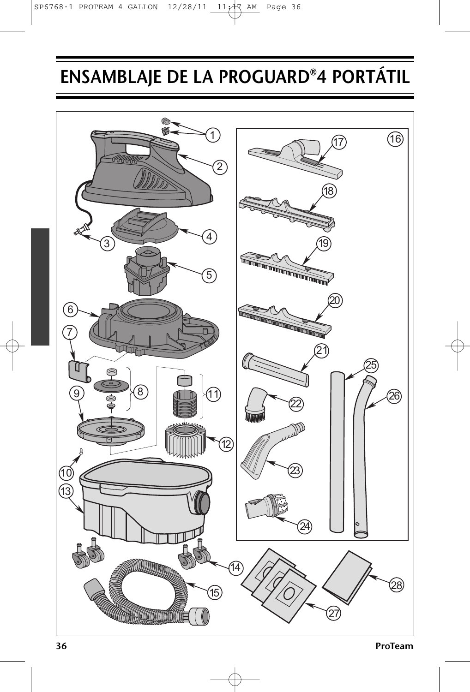# ENSAMBLAJE DE LA PROGUARD®4 PORTÁTIL

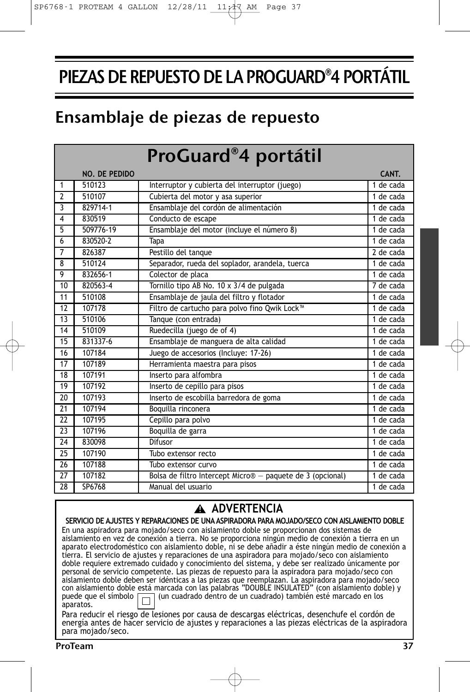## PIEZAS DE REPUESTO DE LA PROGUARD®4 PORTÁTIL

## Ensamblaje de piezas de repuesto

|                         |               | ProGuard®4 portátil                                        |           |
|-------------------------|---------------|------------------------------------------------------------|-----------|
|                         | NO. DE PEDIDO |                                                            | CANT.     |
| $\overline{1}$          | 510123        | Interruptor y cubierta del interruptor (juego)             | 1 de cada |
| $\overline{2}$          | 510107        | Cubierta del motor y asa superior                          | 1 de cada |
| $\overline{\mathbf{3}}$ | 829714-1      | Ensamblaje del cordón de alimentación                      | 1 de cada |
| $\overline{4}$          | 830519        | Conducto de escape                                         | 1 de cada |
| $\overline{5}$          | 509776-19     | Ensamblaje del motor (incluye el número 8)                 | 1 de cada |
| 6                       | 830520-2      | Tapa                                                       | 1 de cada |
| $\overline{7}$          | 826387        | Pestillo del tanque                                        | 2 de cada |
| 8                       | 510124        | Separador, rueda del soplador, arandela, tuerca            | 1 de cada |
| 9                       | 832656-1      | Colector de placa                                          | 1 de cada |
| 10                      | 820563-4      | Tornillo tipo AB No. 10 x 3/4 de pulgada                   | 7 de cada |
| 11                      | 510108        | Ensamblaje de jaula del filtro y flotador                  | 1 de cada |
| 12                      | 107178        | Filtro de cartucho para polvo fino Qwik Lock <sup>™</sup>  | 1 de cada |
| $\overline{13}$         | 510106        | Tanque (con entrada)                                       | 1 de cada |
| 14                      | 510109        | Ruedecilla (juego de of 4)                                 | 1 de cada |
| $\overline{15}$         | 831337-6      | Ensamblaje de manguera de alta calidad                     | 1 de cada |
| 16                      | 107184        | Juego de accesorios (Incluye: 17-26)                       | 1 de cada |
| $1\overline{7}$         | 107189        | Herramienta maestra para pisos                             | 1 de cada |
| 18                      | 107191        | Inserto para alfombra                                      | 1 de cada |
| 19                      | 107192        | Inserto de cepillo para pisos                              | 1 de cada |
| 20                      | 107193        | Inserto de escobilla barredora de goma                     | 1 de cada |
| $\overline{21}$         | 107194        | Boquilla rinconera                                         | 1 de cada |
| 22                      | 107195        | Cepillo para polvo                                         | 1 de cada |
| 23                      | 107196        | Boquilla de garra                                          | 1 de cada |
| 24                      | 830098        | Difusor                                                    | 1 de cada |
| 25                      | 107190        | Tubo extensor recto                                        | 1 de cada |
| 26                      | 107188        | Tubo extensor curvo                                        | 1 de cada |
| 27                      | 107182        | Bolsa de filtro Intercept Micro® - paquete de 3 (opcional) | 1 de cada |
| $\overline{28}$         | SP6768        | Manual del usuario                                         | 1 de cada |

### **ADVERTENCIA !**

SERVICIO DE AJUSTES Y REPARACIONES DE UNA ASPIRADORA PARA MOJADO/SECO CON AISLAMIENTO DOBLE En una aspiradora para mojado/seco con aislamiento doble se proporcionan dos sistemas de aislamiento en vez de conexión a tierra. No se proporciona ningún medio de conexión a tierra en un aparato electrodoméstico con aislamiento doble, ni se debe añadir a éste ningún medio de conexión a tierra. El servicio de ajustes y reparaciones de una aspiradora para mojado/seco con aislamiento doble requiere extremado cuidado y conocimiento del sistema, y debe ser realizado únicamente por personal de servicio competente. Las piezas de repuesto para la aspiradora para mojado/seco con aislamiento doble deben ser idénticas a las piezas que reemplazan. La aspiradora para mojado/seco con aislamiento doble está marcada con las palabras "DOUBLE INSULATED" (con aislamiento doble) y puede que el símbolo  $\boxed{\Box}$  (un cuadrado dentro de un cuadrado) también esté marcado en los aparatos.

Para reducir el riesgo de lesiones por causa de descargas eléctricas, desenchufe el cordón de energía antes de hacer servicio de ajustes y reparaciones a las piezas eléctricas de la aspiradora para mojado/seco.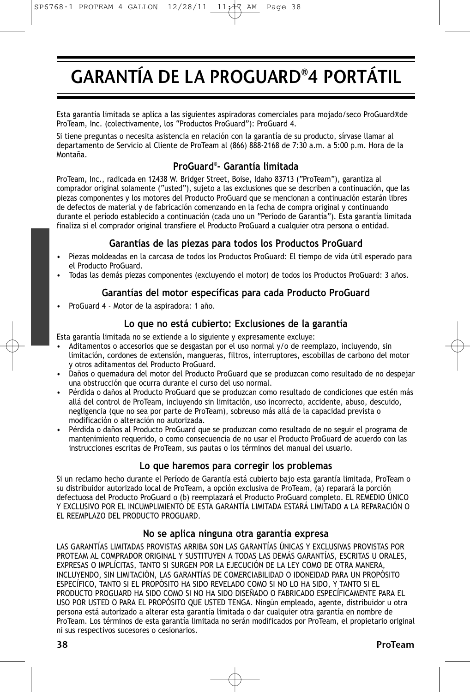# GARANTÍA DE LA PROGUARD®4 PORTÁTIL

Esta garantía limitada se aplica a las siguientes aspiradoras comerciales para mojado/seco ProGuard®de ProTeam, Inc. (colectivamente, los "Productos ProGuard"): ProGuard 4.

Si tiene preguntas o necesita asistencia en relación con la garantía de su producto, sírvase llamar al departamento de Servicio al Cliente de ProTeam al (866) 888-2168 de 7:30 a.m. a 5:00 p.m. Hora de la Montaña.

### **ProGuard® - Garantía limitada**

ProTeam, Inc., radicada en 12438 W. Bridger Street, Boise, Idaho 83713 ("ProTeam"), garantiza al comprador original solamente ("usted"), sujeto a las exclusiones que se describen a continuación, que las piezas componentes y los motores del Producto ProGuard que se mencionan a continuación estarán libres de defectos de material y de fabricación comenzando en la fecha de compra original y continuando durante el período establecido a continuación (cada uno un "Período de Garantía"). Esta garantía limitada finaliza si el comprador original transfiere el Producto ProGuard a cualquier otra persona o entidad.

### **Garantías de las piezas para todos los Productos ProGuard**

- Piezas moldeadas en la carcasa de todos los Productos ProGuard: El tiempo de vida útil esperado para el Producto ProGuard.
- Todas las demás piezas componentes (excluyendo el motor) de todos los Productos ProGuard: 3 años.

#### **Garantías del motor específicas para cada Producto ProGuard**

• ProGuard 4 - Motor de la aspiradora: 1 año.

### **Lo que no está cubierto: Exclusiones de la garantía**

Esta garantía limitada no se extiende a lo siguiente y expresamente excluye:

- Aditamentos o accesorios que se desgastan por el uso normal y/o de reemplazo, incluyendo, sin limitación, cordones de extensión, mangueras, filtros, interruptores, escobillas de carbono del motor y otros aditamentos del Producto ProGuard.
- Daños o quemadura del motor del Producto ProGuard que se produzcan como resultado de no despejar una obstrucción que ocurra durante el curso del uso normal.
- Pérdida o daños al Producto ProGuard que se produzcan como resultado de condiciones que estén más allá del control de ProTeam, incluyendo sin limitación, uso incorrecto, accidente, abuso, descuido, negligencia (que no sea por parte de ProTeam), sobreuso más allá de la capacidad prevista o modificación o alteración no autorizada.
- Pérdida o daños al Producto ProGuard que se produzcan como resultado de no seguir el programa de mantenimiento requerido, o como consecuencia de no usar el Producto ProGuard de acuerdo con las instrucciones escritas de ProTeam, sus pautas o los términos del manual del usuario.

### **Lo que haremos para corregir los problemas**

Si un reclamo hecho durante el Período de Garantía está cubierto bajo esta garantía limitada, ProTeam o su distribuidor autorizado local de ProTeam, a opción exclusiva de ProTeam, (a) reparará la porción defectuosa del Producto ProGuard o (b) reemplazará el Producto ProGuard completo. EL REMEDIO ÚNICO Y EXCLUSIVO POR EL INCUMPLIMIENTO DE ESTA GARANTÍA LIMITADA ESTARÁ LIMITADO A LA REPARACIÓN O EL REEMPLAZO DEL PRODUCTO PROGUARD.

#### **No se aplica ninguna otra garantía expresa**

LAS GARANTÍAS LIMITADAS PROVISTAS ARRIBA SON LAS GARANTÍAS ÚNICAS Y EXCLUSIVAS PROVISTAS POR PROTEAM AL COMPRADOR ORIGINAL Y SUSTITUYEN A TODAS LAS DEMÁS GARANTÍAS, ESCRITAS U ORALES, EXPRESAS O IMPLÍCITAS, TANTO SI SURGEN POR LA EJECUCIÓN DE LA LEY COMO DE OTRA MANERA, INCLUYENDO, SIN LIMITACIÓN, LAS GARANTÍAS DE COMERCIABILIDAD O IDONEIDAD PARA UN PROPÓSITO ESPECÍFICO, TANTO SI EL PROPÓSITO HA SIDO REVELADO COMO SI NO LO HA SIDO, Y TANTO SI EL PRODUCTO PROGUARD HA SIDO COMO SI NO HA SIDO DISEÑADO O FABRICADO ESPECÍFICAMENTE PARA EL USO POR USTED O PARA EL PROPÓSITO QUE USTED TENGA. Ningún empleado, agente, distribuidor u otra persona está autorizado a alterar esta garantía limitada o dar cualquier otra garantía en nombre de ProTeam. Los términos de esta garantía limitada no serán modificados por ProTeam, el propietario original ni sus respectivos sucesores o cesionarios.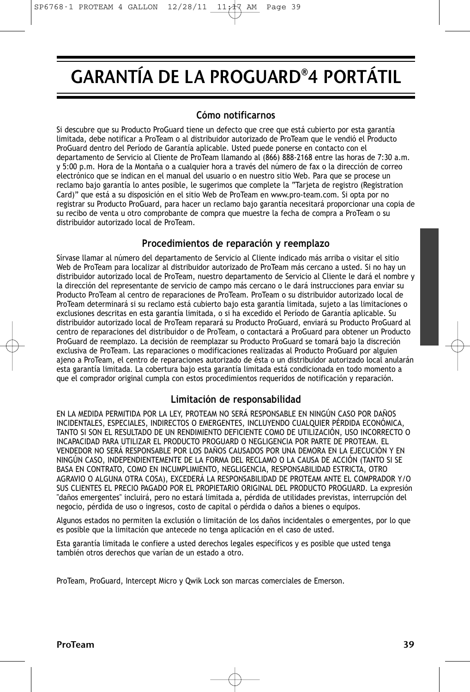# GARANTÍA DE LA PROGUARD®4 PORTÁTIL

### **Cómo notificarnos**

Si descubre que su Producto ProGuard tiene un defecto que cree que está cubierto por esta garantía limitada, debe notificar a ProTeam o al distribuidor autorizado de ProTeam que le vendió el Producto ProGuard dentro del Período de Garantía aplicable. Usted puede ponerse en contacto con el departamento de Servicio al Cliente de ProTeam llamando al (866) 888-2168 entre las horas de 7:30 a.m. y 5:00 p.m. Hora de la Montaña o a cualquier hora a través del número de fax o la dirección de correo electrónico que se indican en el manual del usuario o en nuestro sitio Web. Para que se procese un reclamo bajo garantía lo antes posible, le sugerimos que complete la "Tarjeta de registro (Registration Card)" que está a su disposición en el sitio Web de ProTeam en www.pro-team.com. Si opta por no registrar su Producto ProGuard, para hacer un reclamo bajo garantía necesitará proporcionar una copia de su recibo de venta u otro comprobante de compra que muestre la fecha de compra a ProTeam o su distribuidor autorizado local de ProTeam.

### **Procedimientos de reparación y reemplazo**

Sírvase llamar al número del departamento de Servicio al Cliente indicado más arriba o visitar el sitio Web de ProTeam para localizar al distribuidor autorizado de ProTeam más cercano a usted. Si no hay un distribuidor autorizado local de ProTeam, nuestro departamento de Servicio al Cliente le dará el nombre y la dirección del representante de servicio de campo más cercano o le dará instrucciones para enviar su Producto ProTeam al centro de reparaciones de ProTeam. ProTeam o su distribuidor autorizado local de ProTeam determinará si su reclamo está cubierto bajo esta garantía limitada, sujeto a las limitaciones o exclusiones descritas en esta garantía limitada, o si ha excedido el Período de Garantía aplicable. Su distribuidor autorizado local de ProTeam reparará su Producto ProGuard, enviará su Producto ProGuard al centro de reparaciones del distribuidor o de ProTeam, o contactará a ProGuard para obtener un Producto ProGuard de reemplazo. La decisión de reemplazar su Producto ProGuard se tomará bajo la discreción exclusiva de ProTeam. Las reparaciones o modificaciones realizadas al Producto ProGuard por alguien ajeno a ProTeam, el centro de reparaciones autorizado de ésta o un distribuidor autorizado local anularán esta garantía limitada. La cobertura bajo esta garantía limitada está condicionada en todo momento a que el comprador original cumpla con estos procedimientos requeridos de notificación y reparación.

### **Limitación de responsabilidad**

EN LA MEDIDA PERMITIDA POR LA LEY, PROTEAM NO SERÁ RESPONSABLE EN NINGÚN CASO POR DAÑOS INCIDENTALES, ESPECIALES, INDIRECTOS O EMERGENTES, INCLUYENDO CUALQUIER PÉRDIDA ECONÓMICA, TANTO SI SON EL RESULTADO DE UN RENDIMIENTO DEFICIENTE COMO DE UTILIZACIÓN, USO INCORRECTO O INCAPACIDAD PARA UTILIZAR EL PRODUCTO PROGUARD O NEGLIGENCIA POR PARTE DE PROTEAM. EL VENDEDOR NO SERÁ RESPONSABLE POR LOS DAÑOS CAUSADOS POR UNA DEMORA EN LA EJECUCIÓN Y EN NINGÚN CASO, INDEPENDIENTEMENTE DE LA FORMA DEL RECLAMO O LA CAUSA DE ACCIÓN (TANTO SI SE BASA EN CONTRATO, COMO EN INCUMPLIMIENTO, NEGLIGENCIA, RESPONSABILIDAD ESTRICTA, OTRO AGRAVIO O ALGUNA OTRA COSA), EXCEDERÁ LA RESPONSABILIDAD DE PROTEAM ANTE EL COMPRADOR Y/O SUS CLIENTES EL PRECIO PAGADO POR EL PROPIETARIO ORIGINAL DEL PRODUCTO PROGUARD. La expresión "daños emergentes" incluirá, pero no estará limitada a, pérdida de utilidades previstas, interrupción del negocio, pérdida de uso o ingresos, costo de capital o pérdida o daños a bienes o equipos.

Algunos estados no permiten la exclusión o limitación de los daños incidentales o emergentes, por lo que es posible que la limitación que antecede no tenga aplicación en el caso de usted.

Esta garantía limitada le confiere a usted derechos legales específicos y es posible que usted tenga también otros derechos que varían de un estado a otro.

ProTeam, ProGuard, Intercept Micro y Qwik Lock son marcas comerciales de Emerson.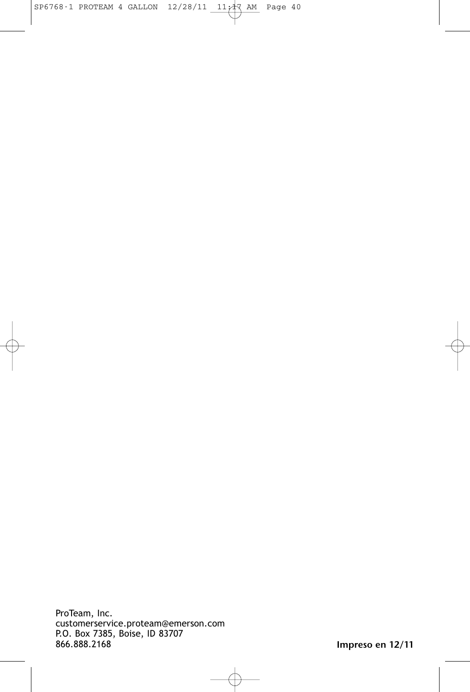ProTeam, Inc. customerservice.proteam@emerson.com P.O. Box 7385, Boise, ID 83707 866.888.2168

Impreso en 12/11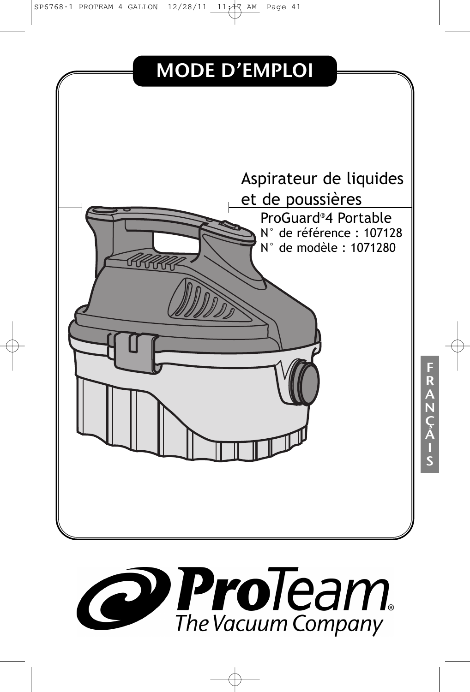SP6768-1 PROTEAM 4 GALLON 12/28/11 11:17 AM Page 41





I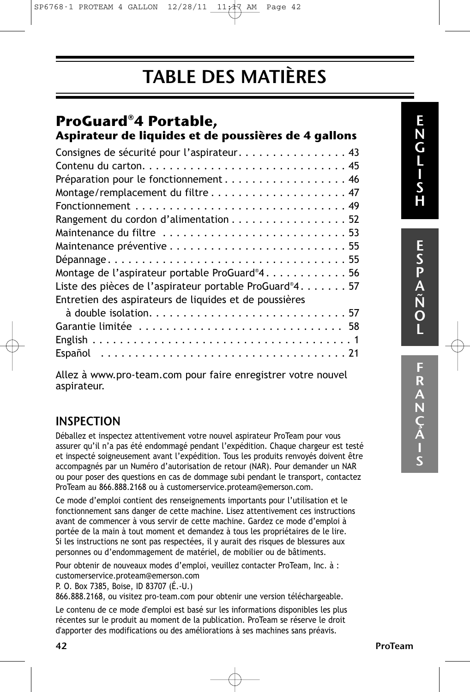SP6768-1 PROTEAM 4 GALLON  $12/28/11$   $11/17$  AM Page 42

## TABLE DES MATIÈRES

### **ProGuard®4 Portable,**

| Aspirateur de liquides et de poussières de 4 gallons   |
|--------------------------------------------------------|
| Consignes de sécurité pour l'aspirateur43              |
|                                                        |
| Préparation pour le fonctionnement 46                  |
|                                                        |
|                                                        |
| Rangement du cordon d'alimentation 52                  |
| Maintenance du filtre 53                               |
|                                                        |
|                                                        |
| Montage de l'aspirateur portable ProGuard®456          |
| Liste des pièces de l'aspirateur portable ProGuard®457 |
| Entretien des aspirateurs de liquides et de poussières |
|                                                        |
| Garantie limitée  58                                   |
|                                                        |
|                                                        |
|                                                        |

Allez à www.pro-team.com pour faire enregistrer votre nouvel aspirateur.

### INSPECTION

Déballez et inspectez attentivement votre nouvel aspirateur ProTeam pour vous assurer qu'il n'a pas été endommagé pendant l'expédition. Chaque chargeur est testé et inspecté soigneusement avant l'expédition. Tous les produits renvoyés doivent être accompagnés par un Numéro d'autorisation de retour (NAR). Pour demander un NAR ou pour poser des questions en cas de dommage subi pendant le transport, contactez ProTeam au 866.888.2168 ou à customerservice.proteam@emerson.com.

Ce mode d'emploi contient des renseignements importants pour l'utilisation et le fonctionnement sans danger de cette machine. Lisez attentivement ces instructions avant de commencer à vous servir de cette machine. Gardez ce mode d'emploi à portée de la main à tout moment et demandez à tous les propriétaires de le lire. Si les instructions ne sont pas respectées, il y aurait des risques de blessures aux personnes ou d'endommagement de matériel, de mobilier ou de bâtiments.

Pour obtenir de nouveaux modes d'emploi, veuillez contacter ProTeam, Inc. à : customerservice.proteam@emerson.com

P. O. Box 7385, Boise, ID 83707 (É.-U.)

866.888.2168, ou visitez pro-team.com pour obtenir une version téléchargeable.

Le contenu de ce mode d'emploi est basé sur les informations disponibles les plus récentes sur le produit au moment de la publication. ProTeam se réserve le droit d'apporter des modifications ou des améliorations à ses machines sans préavis.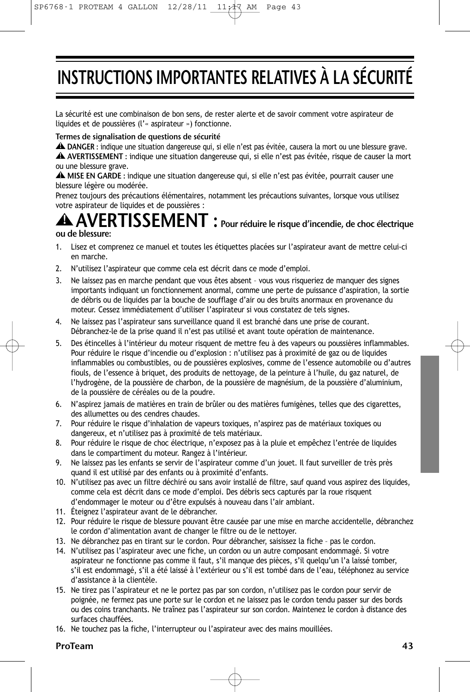# INSTRUCTIONS IMPORTANTES RELATIVES À LA SÉCURITÉ

La sécurité est une combinaison de bon sens, de rester alerte et de savoir comment votre aspirateur de liquides et de poussières (l'« aspirateur ») fonctionne.

#### Termes de signalisation de questions de sécurité

DANGER : indique une situation dangereuse qui, si elle n'est pas évitée, causera la mort ou une blessure grave. **!** AVERTISSEMENT : indique une situation dangereuse qui, si elle n'est pas évitée, risque de causer la mort **!** ou une blessure grave.

MISE EN GARDE : indique une situation dangereuse qui, si elle n'est pas évitée, pourrait causer une **!** blessure légère ou modérée.

Prenez toujours des précautions élémentaires, notamment les précautions suivantes, lorsque vous utilisez votre aspirateur de liquides et de poussières :

#### $\sqrt{\text{ERTISSEMENT}}$  : Pour réduire le risque d'incendie, de choc électrique ou de blessure: **!**

- 1. Lisez et comprenez ce manuel et toutes les étiquettes placées sur l'aspirateur avant de mettre celui-ci en marche.
- 2. N'utilisez l'aspirateur que comme cela est décrit dans ce mode d'emploi.
- 3. Ne laissez pas en marche pendant que vous êtes absent vous vous risqueriez de manquer des signes importants indiquant un fonctionnement anormal, comme une perte de puissance d'aspiration, la sortie de débris ou de liquides par la bouche de soufflage d'air ou des bruits anormaux en provenance du moteur. Cessez immédiatement d'utiliser l'aspirateur si vous constatez de tels signes.
- 4. Ne laissez pas l'aspirateur sans surveillance quand il est branché dans une prise de courant. Débranchez-le de la prise quand il n'est pas utilisé et avant toute opération de maintenance.
- Des étincelles à l'intérieur du moteur risquent de mettre feu à des vapeurs ou poussières inflammables. Pour réduire le risque d'incendie ou d'explosion : n'utilisez pas à proximité de gaz ou de liquides inflammables ou combustibles, ou de poussières explosives, comme de l'essence automobile ou d'autres fiouls, de l'essence à briquet, des produits de nettoyage, de la peinture à l'huile, du gaz naturel, de l'hydrogène, de la poussière de charbon, de la poussière de magnésium, de la poussière d'aluminium, de la poussière de céréales ou de la poudre.
- 6. N'aspirez jamais de matières en train de brûler ou des matières fumigènes, telles que des cigarettes, des allumettes ou des cendres chaudes.
- 7. Pour réduire le risque d'inhalation de vapeurs toxiques, n'aspirez pas de matériaux toxiques ou dangereux, et n'utilisez pas à proximité de tels matériaux.
- 8. Pour réduire le risque de choc électrique, n'exposez pas à la pluie et empêchez l'entrée de liquides dans le compartiment du moteur. Rangez à l'intérieur.
- 9. Ne laissez pas les enfants se servir de l'aspirateur comme d'un jouet. Il faut surveiller de très près quand il est utilisé par des enfants ou à proximité d'enfants.
- 10. N'utilisez pas avec un filtre déchiré ou sans avoir installé de filtre, sauf quand vous aspirez des liquides, comme cela est décrit dans ce mode d'emploi. Des débris secs capturés par la roue risquent d'endommager le moteur ou d'être expulsés à nouveau dans l'air ambiant.
- 11. Éteignez l'aspirateur avant de le débrancher.
- 12. Pour réduire le risque de blessure pouvant être causée par une mise en marche accidentelle, débranchez le cordon d'alimentation avant de changer le filtre ou de le nettoyer.
- 13. Ne débranchez pas en tirant sur le cordon. Pour débrancher, saisissez la fiche pas le cordon.
- 14. N'utilisez pas l'aspirateur avec une fiche, un cordon ou un autre composant endommagé. Si votre aspirateur ne fonctionne pas comme il faut, s'il manque des pièces, s'il quelqu'un l'a laissé tomber, s'il est endommagé, s'il a été laissé à l'extérieur ou s'il est tombé dans de l'eau, téléphonez au service d'assistance à la clientèle.
- 15. Ne tirez pas l'aspirateur et ne le portez pas par son cordon, n'utilisez pas le cordon pour servir de poignée, ne fermez pas une porte sur le cordon et ne laissez pas le cordon tendu passer sur des bords ou des coins tranchants. Ne traînez pas l'aspirateur sur son cordon. Maintenez le cordon à distance des surfaces chauffées.
- 16. Ne touchez pas la fiche, l'interrupteur ou l'aspirateur avec des mains mouillées.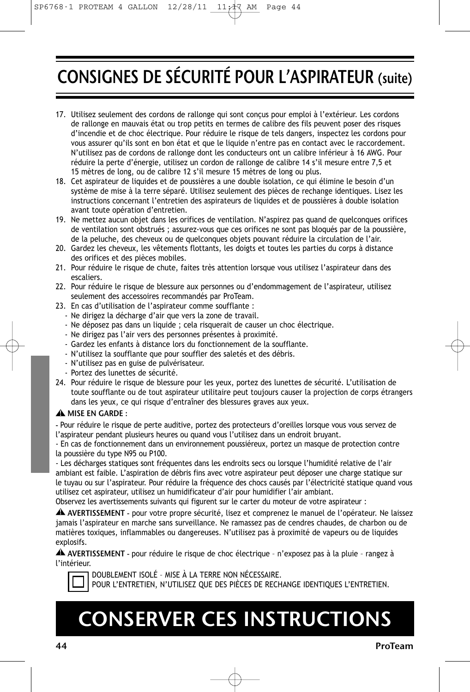# CONSIGNES DE SÉCURITÉ POUR L'ASPIRATEUR (suite)

- 17. Utilisez seulement des cordons de rallonge qui sont conçus pour emploi à l'extérieur. Les cordons de rallonge en mauvais état ou trop petits en termes de calibre des fils peuvent poser des risques d'incendie et de choc électrique. Pour réduire le risque de tels dangers, inspectez les cordons pour vous assurer qu'ils sont en bon état et que le liquide n'entre pas en contact avec le raccordement. N'utilisez pas de cordons de rallonge dont les conducteurs ont un calibre inférieur à 16 AWG. Pour réduire la perte d'énergie, utilisez un cordon de rallonge de calibre 14 s'il mesure entre 7,5 et 15 mètres de long, ou de calibre 12 s'il mesure 15 mètres de long ou plus.
- 18. Cet aspirateur de liquides et de poussières a une double isolation, ce qui élimine le besoin d'un système de mise à la terre séparé. Utilisez seulement des pièces de rechange identiques. Lisez les instructions concernant l'entretien des aspirateurs de liquides et de poussières à double isolation avant toute opération d'entretien.
- 19. Ne mettez aucun objet dans les orifices de ventilation. N'aspirez pas quand de quelconques orifices de ventilation sont obstrués ; assurez-vous que ces orifices ne sont pas bloqués par de la poussière, de la peluche, des cheveux ou de quelconques objets pouvant réduire la circulation de l'air.
- 20. Gardez les cheveux, les vêtements flottants, les doigts et toutes les parties du corps à distance des orifices et des pièces mobiles.
- 21. Pour réduire le risque de chute, faites très attention lorsque vous utilisez l'aspirateur dans des escaliers.
- 22. Pour réduire le risque de blessure aux personnes ou d'endommagement de l'aspirateur, utilisez seulement des accessoires recommandés par ProTeam.
- 23. En cas d'utilisation de l'aspirateur comme soufflante :
	- Ne dirigez la décharge d'air que vers la zone de travail.
	- Ne déposez pas dans un liquide ; cela risquerait de causer un choc électrique.
	- Ne dirigez pas l'air vers des personnes présentes à proximité.
	- Gardez les enfants à distance lors du fonctionnement de la soufflante.
	- N'utilisez la soufflante que pour souffler des saletés et des débris.
	- N'utilisez pas en guise de pulvérisateur.
	- Portez des lunettes de sécurité.
- 24. Pour réduire le risque de blessure pour les yeux, portez des lunettes de sécurité. L'utilisation de toute soufflante ou de tout aspirateur utilitaire peut toujours causer la projection de corps étrangers dans les yeux, ce qui risque d'entraîner des blessures graves aux yeux.

#### MISE EN GARDE : **!**

- Pour réduire le risque de perte auditive, portez des protecteurs d'oreilles lorsque vous vous servez de l'aspirateur pendant plusieurs heures ou quand vous l'utilisez dans un endroit bruyant.

- En cas de fonctionnement dans un environnement poussiéreux, portez un masque de protection contre la poussière du type N95 ou P100.

- Les décharges statiques sont fréquentes dans les endroits secs ou lorsque l'humidité relative de l'air ambiant est faible. L'aspiration de débris fins avec votre aspirateur peut déposer une charge statique sur le tuyau ou sur l'aspirateur. Pour réduire la fréquence des chocs causés par l'électricité statique quand vous utilisez cet aspirateur, utilisez un humidificateur d'air pour humidifier l'air ambiant.

Observez les avertissements suivants qui figurent sur le carter du moteur de votre aspirateur :

AVERTISSEMENT - pour votre propre sécurité, lisez et comprenez le manuel de l'opérateur. Ne laissez **!** jamais l'aspirateur en marche sans surveillance. Ne ramassez pas de cendres chaudes, de charbon ou de matières toxiques, inflammables ou dangereuses. N'utilisez pas à proximité de vapeurs ou de liquides explosifs.

AVERTISSEMENT - pour réduire le risque de choc électrique – n'exposez pas à la pluie – rangez à **!** l'intérieur.

DOUBLEMENT ISOLÉ – MISE À LA TERRE NON NÉCESSAIRE. POUR L'ENTRETIEN, N'UTILISEZ QUE DES PIÈCES DE RECHANGE IDENTIQUES L'ENTRETIEN.

# CONSERVER CES INSTRUCTIONS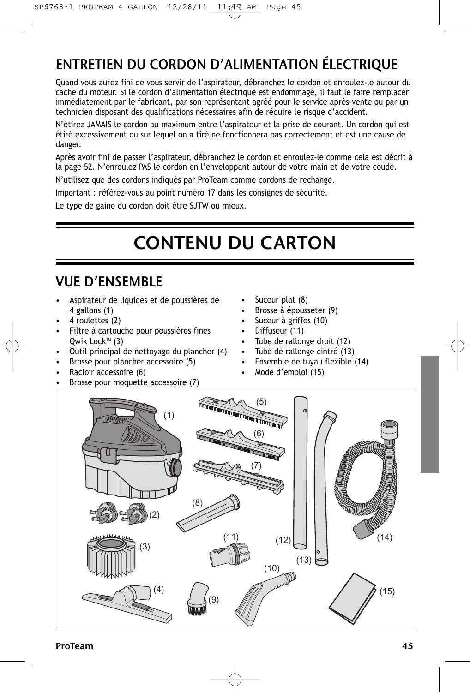### ENTRETIEN DU CORDON D'ALIMENTATION ÉLECTRIQUE

Quand vous aurez fini de vous servir de l'aspirateur, débranchez le cordon et enroulez-le autour du cache du moteur. Si le cordon d'alimentation électrique est endommagé, il faut le faire remplacer immédiatement par le fabricant, par son représentant agréé pour le service après-vente ou par un technicien disposant des qualifications nécessaires afin de réduire le risque d'accident.

N'étirez JAMAIS le cordon au maximum entre l'aspirateur et la prise de courant. Un cordon qui est étiré excessivement ou sur lequel on a tiré ne fonctionnera pas correctement et est une cause de danger.

Après avoir fini de passer l'aspirateur, débranchez le cordon et enroulez-le comme cela est décrit à la page 52. N'enroulez PAS le cordon en l'enveloppant autour de votre main et de votre coude.

N'utilisez que des cordons indiqués par ProTeam comme cordons de rechange.

Important : référez-vous au point numéro 17 dans les consignes de sécurité.

Le type de gaine du cordon doit être SJTW ou mieux.

# CONTENU DU CARTON

### VUE D'ENSEMBLE

- Aspirateur de liquides et de poussières de 4 gallons (1)
- 4 roulettes (2)
- Filtre à cartouche pour poussières fines Qwik Lock™ (3)
- Outil principal de nettoyage du plancher (4)
- Brosse pour plancher accessoire (5)
- Racloir accessoire (6)
- Brosse pour moquette accessoire (7)
- Suceur plat (8)
- Brosse à épousseter (9)
- Suceur à griffes (10)
- Diffuseur (11)
- Tube de rallonge droit (12)
- Tube de rallonge cintré (13)
- Ensemble de tuyau flexible (14)
- Mode d'emploi (15)

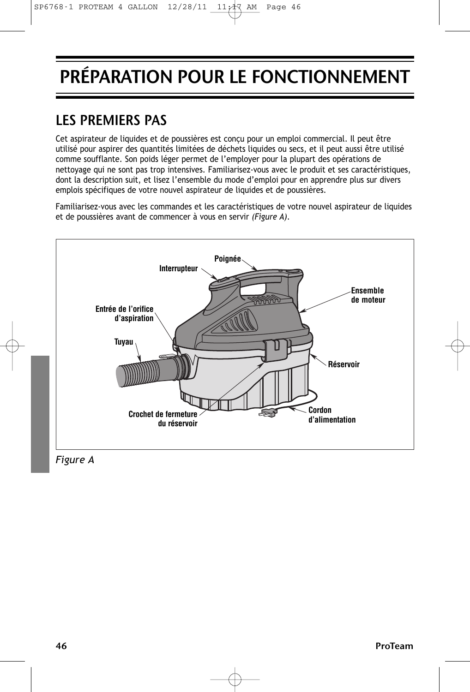# PRÉPARATION POUR LE FONCTIONNEMENT

### LES PREMIERS PAS

Cet aspirateur de liquides et de poussières est conçu pour un emploi commercial. Il peut être utilisé pour aspirer des quantités limitées de déchets liquides ou secs, et il peut aussi être utilisé comme soufflante. Son poids léger permet de l'employer pour la plupart des opérations de nettoyage qui ne sont pas trop intensives. Familiarisez-vous avec le produit et ses caractéristiques, dont la description suit, et lisez l'ensemble du mode d'emploi pour en apprendre plus sur divers emplois spécifiques de votre nouvel aspirateur de liquides et de poussières.

Familiarisez-vous avec les commandes et les caractéristiques de votre nouvel aspirateur de liquides et de poussières avant de commencer à vous en servir *(Figure A)*.



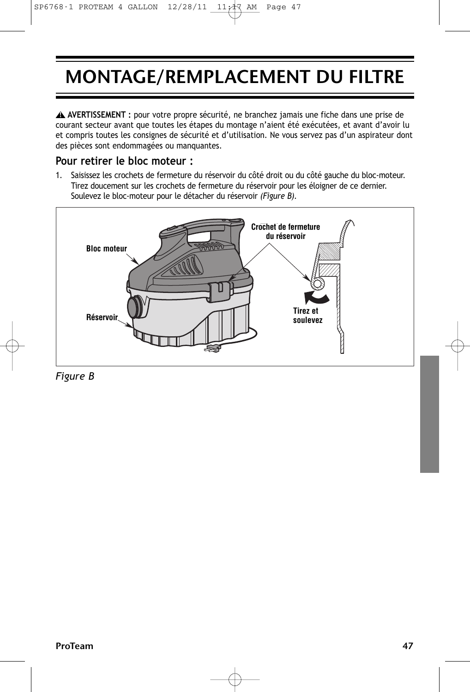# MONTAGE/REMPLACEMENT DU FILTRE

**AVERTISSEMENT :** pour votre propre sécurité, ne branchez jamais une fiche dans une prise de **!** courant secteur avant que toutes les étapes du montage n'aient été exécutées, et avant d'avoir lu et compris toutes les consignes de sécurité et d'utilisation. Ne vous servez pas d'un aspirateur dont des pièces sont endommagées ou manquantes.

### **Pour retirer le bloc moteur :**

1. Saisissez les crochets de fermeture du réservoir du côté droit ou du côté gauche du bloc-moteur. Tirez doucement sur les crochets de fermeture du réservoir pour les éloigner de ce dernier. Soulevez le bloc-moteur pour le détacher du réservoir *(Figure B).*



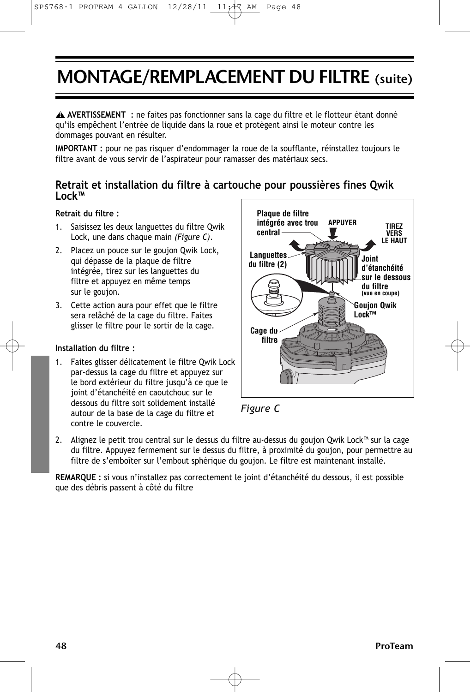## MONTAGE/REMPLACEMENT DU FILTRE (suite)

**AVERTISSEMENT :** ne faites pas fonctionner sans la cage du filtre et le flotteur étant donné **!** qu'ils empêchent l'entrée de liquide dans la roue et protègent ainsi le moteur contre les dommages pouvant en résulter.

**IMPORTANT :** pour ne pas risquer d'endommager la roue de la soufflante, réinstallez toujours le filtre avant de vous servir de l'aspirateur pour ramasser des matériaux secs.

### **Retrait et installation du filtre à cartouche pour poussières fines Qwik Lock™**

#### **Retrait du filtre :**

- 1. Saisissez les deux languettes du filtre Qwik Lock, une dans chaque main *(Figure C)*.
- 2. Placez un pouce sur le goujon Qwik Lock, qui dépasse de la plaque de filtre intégrée, tirez sur les languettes du filtre et appuyez en même temps sur le goujon.
- 3. Cette action aura pour effet que le filtre sera relâché de la cage du filtre. Faites glisser le filtre pour le sortir de la cage.

#### **Installation du filtre :**

Faites glisser délicatement le filtre Qwik Lock par-dessus la cage du filtre et appuyez sur le bord extérieur du filtre jusqu'à ce que le joint d'étanchéité en caoutchouc sur le dessous du filtre soit solidement installé autour de la base de la cage du filtre et contre le couvercle.





2. Alignez le petit trou central sur le dessus du filtre au-dessus du goujon Qwik Lock™ sur la cage du filtre. Appuyez fermement sur le dessus du filtre, à proximité du goujon, pour permettre au filtre de s'emboîter sur l'embout sphérique du goujon. Le filtre est maintenant installé.

**REMARQUE :** si vous n'installez pas correctement le joint d'étanchéité du dessous, il est possible que des débris passent à côté du filtre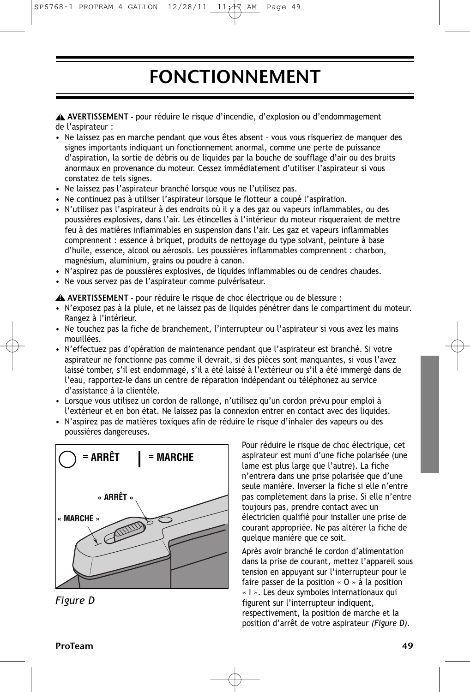### $SP6768-1$  PROTEAM 4 GALLON  $12/28/11$   $11/47$  AM Page 49

## FONCTIONNEMENT

AVERTISSEMENT - pour réduire le risque d'incendie, d'explosion ou d'endommagement **!** de l'aspirateur :

- Ne laissez pas en marche pendant que vous êtes absent vous vous risqueriez de manquer des signes importants indiquant un fonctionnement anormal, comme une perte de puissance d'aspiration, la sortie de débris ou de liquides par la bouche de soufflage d'air ou des bruits anormaux en provenance du moteur. Cessez immédiatement d'utiliser l'aspirateur si vous constatez de tels signes.
- Ne laissez pas l'aspirateur branché lorsque vous ne l'utilisez pas.
- Ne continuez pas à utiliser l'aspirateur lorsque le flotteur a coupé l'aspiration.
- N'utilisez pas l'aspirateur à des endroits où il y a des gaz ou vapeurs inflammables, ou des poussières explosives, dans l'air. Les étincelles à l'intérieur du moteur risqueraient de mettre feu à des matières inflammables en suspension dans l'air. Les gaz et vapeurs inflammables comprennent : essence à briquet, produits de nettoyage du type solvant, peinture à base d'huile, essence, alcool ou aérosols. Les poussières inflammables comprennent : charbon, magnésium, aluminium, grains ou poudre à canon.
- N'aspirez pas de poussières explosives, de liquides inflammables ou de cendres chaudes.
- Ne vous servez pas de l'aspirateur comme pulvérisateur.

AVERTISSEMENT - pour réduire le risque de choc électrique ou de blessure : **!**

- N'exposez pas à la pluie, et ne laissez pas de liquides pénétrer dans le compartiment du moteur. Rangez à l'intérieur.
- Ne touchez pas la fiche de branchement, l'interrupteur ou l'aspirateur si vous avez les mains mouillées.
- N'effectuez pas d'opération de maintenance pendant que l'aspirateur est branché. Si votre aspirateur ne fonctionne pas comme il devrait, si des pièces sont manquantes, si vous l'avez laissé tomber, s'il est endommagé, s'il a été laissé à l'extérieur ou s'il a été immergé dans de l'eau, rapportez-le dans un centre de réparation indépendant ou téléphonez au service d'assistance à la clientèle.
- Lorsque vous utilisez un cordon de rallonge, n'utilisez qu'un cordon prévu pour emploi à l'extérieur et en bon état. Ne laissez pas la connexion entrer en contact avec des liquides.
- N'aspirez pas de matières toxiques afin de réduire le risque d'inhaler des vapeurs ou des poussières dangereuses.



*Figure D*

Pour réduire le risque de choc électrique, cet aspirateur est muni d'une fiche polarisée (une lame est plus large que l'autre). La fiche n'entrera dans une prise polarisée que d'une seule manière. Inverser la fiche si elle n'entre pas complètement dans la prise. Si elle n'entre toujours pas, prendre contact avec un électricien qualifié pour installer une prise de courant appropriée. Ne pas altérer la fiche de quelque manière que ce soit.

Après avoir branché le cordon d'alimentation dans la prise de courant, mettez l'appareil sous tension en appuyant sur l'interrupteur pour le faire passer de la position « O » à la position « I ». Les deux symboles internationaux qui figurent sur l'interrupteur indiquent, respectivement, la position de marche et la position d'arrêt de votre aspirateur *(Figure D)*.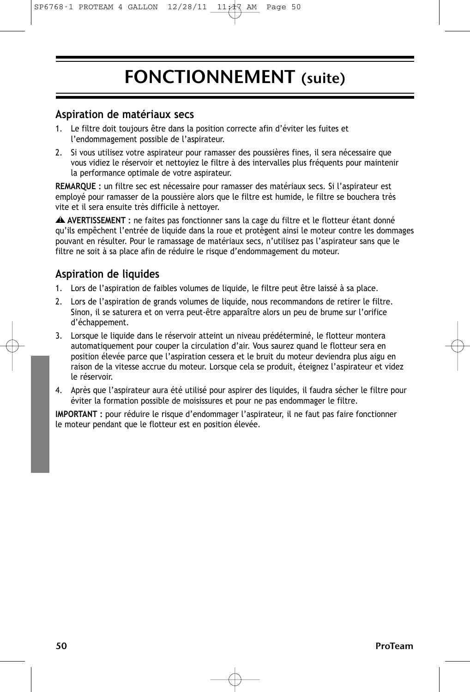## FONCTIONNEMENT (suite)

### **Aspiration de matériaux secs**

- Le filtre doit toujours être dans la position correcte afin d'éviter les fuites et l'endommagement possible de l'aspirateur.
- 2. Si vous utilisez votre aspirateur pour ramasser des poussières fines, il sera nécessaire que vous vidiez le réservoir et nettoyiez le filtre à des intervalles plus fréquents pour maintenir la performance optimale de votre aspirateur.

**REMARQUE :** un filtre sec est nécessaire pour ramasser des matériaux secs. Si l'aspirateur est employé pour ramasser de la poussière alors que le filtre est humide, le filtre se bouchera très vite et il sera ensuite très difficile à nettoyer.

**AVERTISSEMENT :** ne faites pas fonctionner sans la cage du filtre et le flotteur étant donné **!** qu'ils empêchent l'entrée de liquide dans la roue et protègent ainsi le moteur contre les dommages pouvant en résulter. Pour le ramassage de matériaux secs, n'utilisez pas l'aspirateur sans que le filtre ne soit à sa place afin de réduire le risque d'endommagement du moteur.

### **Aspiration de liquides**

- 1. Lors de l'aspiration de faibles volumes de liquide, le filtre peut être laissé à sa place.
- 2. Lors de l'aspiration de grands volumes de liquide, nous recommandons de retirer le filtre. Sinon, il se saturera et on verra peut-être apparaître alors un peu de brume sur l'orifice d'échappement.
- 3. Lorsque le liquide dans le réservoir atteint un niveau prédéterminé, le flotteur montera automatiquement pour couper la circulation d'air. Vous saurez quand le flotteur sera en position élevée parce que l'aspiration cessera et le bruit du moteur deviendra plus aigu en raison de la vitesse accrue du moteur. Lorsque cela se produit, éteignez l'aspirateur et videz le réservoir.
- 4. Après que l'aspirateur aura été utilisé pour aspirer des liquides, il faudra sécher le filtre pour éviter la formation possible de moisissures et pour ne pas endommager le filtre.

**IMPORTANT :** pour réduire le risque d'endommager l'aspirateur, il ne faut pas faire fonctionner le moteur pendant que le flotteur est en position élevée.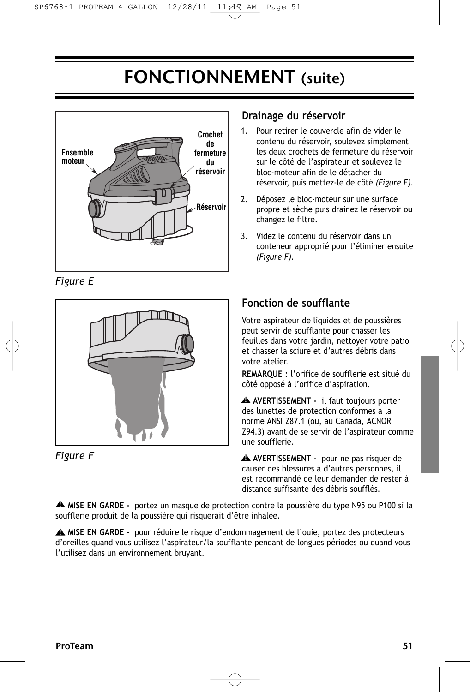## FONCTIONNEMENT (suite)



*Figure E*





### **Drainage du réservoir**

- 1. Pour retirer le couvercle afin de vider le contenu du réservoir, soulevez simplement les deux crochets de fermeture du réservoir sur le côté de l'aspirateur et soulevez le bloc-moteur afin de le détacher du réservoir, puis mettez-le de côté *(Figure E).*
- 2. Déposez le bloc-moteur sur une surface propre et sèche puis drainez le réservoir ou changez le filtre.
- 3. Videz le contenu du réservoir dans un conteneur approprié pour l'éliminer ensuite *(Figure F).*

### **Fonction de soufflante**

Votre aspirateur de liquides et de poussières peut servir de soufflante pour chasser les feuilles dans votre jardin, nettoyer votre patio et chasser la sciure et d'autres débris dans votre atelier.

**REMARQUE :** l'orifice de soufflerie est situé du côté opposé à l'orifice d'aspiration.

**AVERTISSEMENT -** il faut toujours porter **!** des lunettes de protection conformes à la norme ANSI Z87.1 (ou, au Canada, ACNOR Z94.3) avant de se servir de l'aspirateur comme une soufflerie.

**AVERTISSEMENT -** pour ne pas risquer de **!** causer des blessures à d'autres personnes, il est recommandé de leur demander de rester à distance suffisante des débris soufflés.

**MISE EN GARDE -** portez un masque de protection contre la poussière du type N95 ou P100 si la **!** soufflerie produit de la poussière qui risquerait d'être inhalée.

**MISE EN GARDE -** pour réduire le risque d'endommagement de l'ouie, portez des protecteurs **!** d'oreilles quand vous utilisez l'aspirateur/la soufflante pendant de longues périodes ou quand vous l'utilisez dans un environnement bruyant.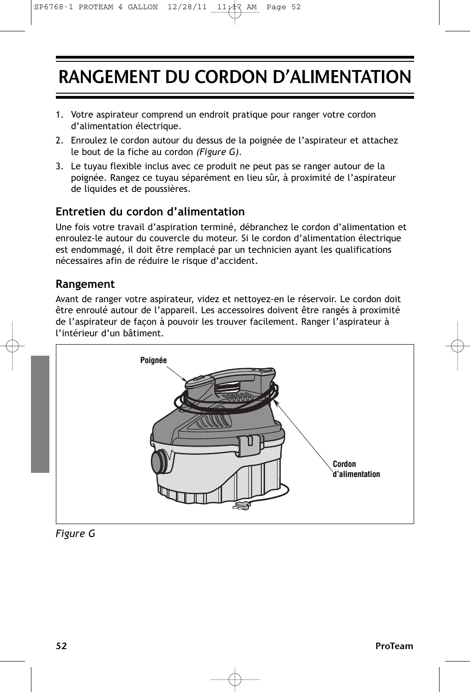## RANGEMENT DU CORDON D'ALIMENTATION

- 1. Votre aspirateur comprend un endroit pratique pour ranger votre cordon d'alimentation électrique.
- 2. Enroulez le cordon autour du dessus de la poignée de l'aspirateur et attachez le bout de la fiche au cordon *(Figure G)*.
- 3. Le tuyau flexible inclus avec ce produit ne peut pas se ranger autour de la poignée. Rangez ce tuyau séparément en lieu sûr, à proximité de l'aspirateur de liquides et de poussières.

### **Entretien du cordon d'alimentation**

Une fois votre travail d'aspiration terminé, débranchez le cordon d'alimentation et enroulez-le autour du couvercle du moteur. Si le cordon d'alimentation électrique est endommagé, il doit être remplacé par un technicien ayant les qualifications nécessaires afin de réduire le risque d'accident.

### **Rangement**

Avant de ranger votre aspirateur, videz et nettoyez-en le réservoir. Le cordon doit être enroulé autour de l'appareil. Les accessoires doivent être rangés à proximité de l'aspirateur de façon à pouvoir les trouver facilement. Ranger l'aspirateur à l'intérieur d'un bâtiment.



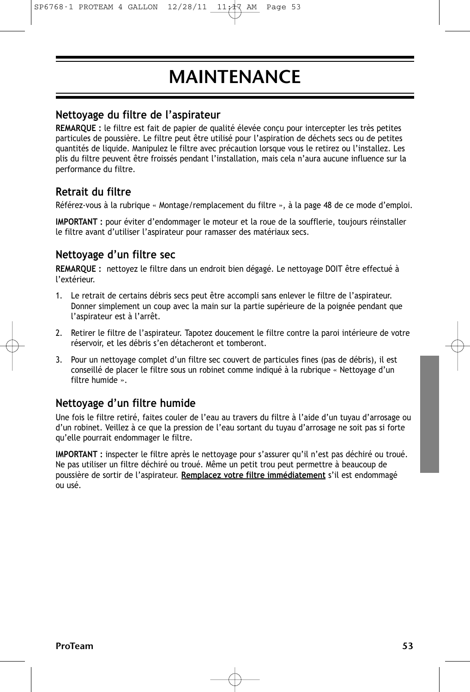# MAINTENANCE

### **Nettoyage du filtre de l'aspirateur**

**REMARQUE :** le filtre est fait de papier de qualité élevée conçu pour intercepter les très petites particules de poussière. Le filtre peut être utilisé pour l'aspiration de déchets secs ou de petites quantités de liquide. Manipulez le filtre avec précaution lorsque vous le retirez ou l'installez. Les plis du filtre peuvent être froissés pendant l'installation, mais cela n'aura aucune influence sur la performance du filtre.

### **Retrait du filtre**

Référez-vous à la rubrique « Montage/remplacement du filtre », à la page 48 de ce mode d'emploi.

**IMPORTANT :** pour éviter d'endommager le moteur et la roue de la soufflerie, toujours réinstaller le filtre avant d'utiliser l'aspirateur pour ramasser des matériaux secs.

### **Nettoyage d'un filtre sec**

**REMARQUE :** nettoyez le filtre dans un endroit bien dégagé. Le nettoyage DOIT être effectué à l'extérieur.

- 1. Le retrait de certains débris secs peut être accompli sans enlever le filtre de l'aspirateur. Donner simplement un coup avec la main sur la partie supérieure de la poignée pendant que l'aspirateur est à l'arrêt.
- 2. Retirer le filtre de l'aspirateur. Tapotez doucement le filtre contre la paroi intérieure de votre réservoir, et les débris s'en détacheront et tomberont.
- 3. Pour un nettoyage complet d'un filtre sec couvert de particules fines (pas de débris), il est conseillé de placer le filtre sous un robinet comme indiqué à la rubrique « Nettoyage d'un filtre humide ».

### **Nettoyage d'un filtre humide**

Une fois le filtre retiré, faites couler de l'eau au travers du filtre à l'aide d'un tuyau d'arrosage ou d'un robinet. Veillez à ce que la pression de l'eau sortant du tuyau d'arrosage ne soit pas si forte qu'elle pourrait endommager le filtre.

**IMPORTANT :** inspecter le filtre après le nettoyage pour s'assurer qu'il n'est pas déchiré ou troué. Ne pas utiliser un filtre déchiré ou troué. Même un petit trou peut permettre à beaucoup de poussière de sortir de l'aspirateur. **Remplacez votre filtre immédiatement** s'il est endommagé ou usé.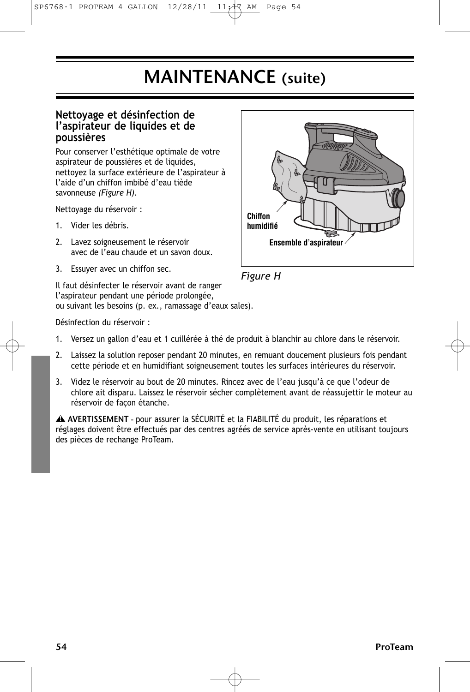### MAINTENANCE (suite)

### **Nettoyage et désinfection de l'aspirateur de liquides et de poussières**

Pour conserver l'esthétique optimale de votre aspirateur de poussières et de liquides, nettoyez la surface extérieure de l'aspirateur à l'aide d'un chiffon imbibé d'eau tiède savonneuse *(Figure H)*.

Nettoyage du réservoir :

- 1. Vider les débris.
- 2. Lavez soigneusement le réservoir avec de l'eau chaude et un savon doux.
- 3. Essuyer avec un chiffon sec.

Il faut désinfecter le réservoir avant de ranger l'aspirateur pendant une période prolongée, ou suivant les besoins (p. ex., ramassage d'eaux sales).





Désinfection du réservoir :

- 1. Versez un gallon d'eau et 1 cuillérée à thé de produit à blanchir au chlore dans le réservoir.
- 2. Laissez la solution reposer pendant 20 minutes, en remuant doucement plusieurs fois pendant cette période et en humidifiant soigneusement toutes les surfaces intérieures du réservoir.
- 3. Videz le réservoir au bout de 20 minutes. Rincez avec de l'eau jusqu'à ce que l'odeur de chlore ait disparu. Laissez le réservoir sécher complètement avant de réassujettir le moteur au réservoir de façon étanche.

AVERTISSEMENT - pour assurer la SÉCURITÉ et la FIABILITÉ du produit, les réparations et **!** réglages doivent être effectués par des centres agréés de service après-vente en utilisant toujours des pièces de rechange ProTeam.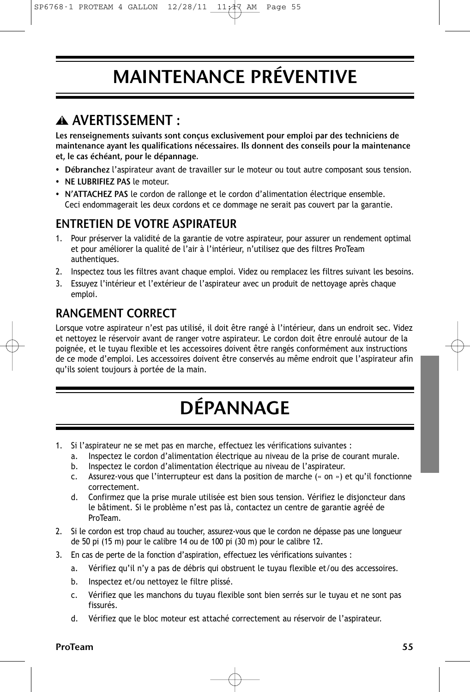# MAINTENANCE PRÉVENTIVE

### AVERTISSEMENT : **!**

Les renseignements suivants sont conçus exclusivement pour emploi par des techniciens de maintenance ayant les qualifications nécessaires. Ils donnent des conseils pour la maintenance et, le cas échéant, pour le dépannage.

- Débranchez l'aspirateur avant de travailler sur le moteur ou tout autre composant sous tension.
- NE LUBRIFIEZ PAS le moteur.
- N'ATTACHEZ PAS le cordon de rallonge et le cordon d'alimentation électrique ensemble. Ceci endommagerait les deux cordons et ce dommage ne serait pas couvert par la garantie.

### ENTRETIEN DE VOTRE ASPIRATEUR

- 1. Pour préserver la validité de la garantie de votre aspirateur, pour assurer un rendement optimal et pour améliorer la qualité de l'air à l'intérieur, n'utilisez que des filtres ProTeam authentiques.
- 2. Inspectez tous les filtres avant chaque emploi. Videz ou remplacez les filtres suivant les besoins.
- 3. Essuyez l'intérieur et l'extérieur de l'aspirateur avec un produit de nettoyage après chaque emploi.

### RANGEMENT CORRECT

Lorsque votre aspirateur n'est pas utilisé, il doit être rangé à l'intérieur, dans un endroit sec. Videz et nettoyez le réservoir avant de ranger votre aspirateur. Le cordon doit être enroulé autour de la poignée, et le tuyau flexible et les accessoires doivent être rangés conformément aux instructions de ce mode d'emploi. Les accessoires doivent être conservés au même endroit que l'aspirateur afin qu'ils soient toujours à portée de la main.

# DÉPANNAGE

- 1. Si l'aspirateur ne se met pas en marche, effectuez les vérifications suivantes :
	- a. Inspectez le cordon d'alimentation électrique au niveau de la prise de courant murale.
	- b. Inspectez le cordon d'alimentation électrique au niveau de l'aspirateur.
	- c. Assurez-vous que l'interrupteur est dans la position de marche (« on ») et qu'il fonctionne correctement.
	- d. Confirmez que la prise murale utilisée est bien sous tension. Vérifiez le disjoncteur dans le bâtiment. Si le problème n'est pas là, contactez un centre de garantie agréé de ProTeam.
- 2. Si le cordon est trop chaud au toucher, assurez-vous que le cordon ne dépasse pas une longueur de 50 pi (15 m) pour le calibre 14 ou de 100 pi (30 m) pour le calibre 12.
- 3. En cas de perte de la fonction d'aspiration, effectuez les vérifications suivantes :
	- a. Vérifiez qu'il n'y a pas de débris qui obstruent le tuyau flexible et/ou des accessoires.
	- b. Inspectez et/ou nettoyez le filtre plissé.
	- c. Vérifiez que les manchons du tuyau flexible sont bien serrés sur le tuyau et ne sont pas fissurés.
	- d. Vérifiez que le bloc moteur est attaché correctement au réservoir de l'aspirateur.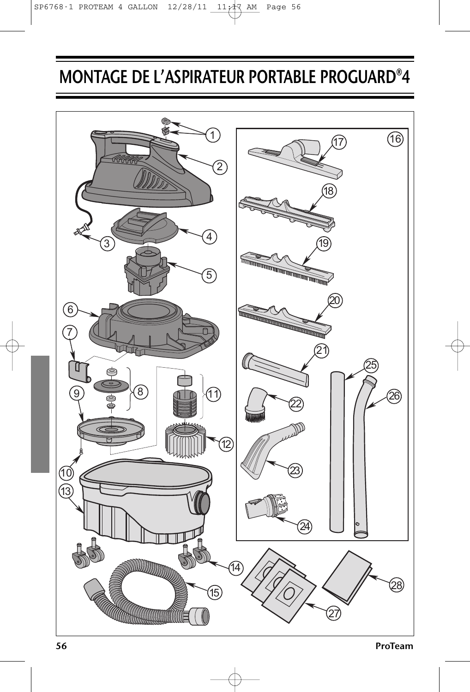# MONTAGE DE L'ASPIRATEUR PORTABLE PROGUARD®4

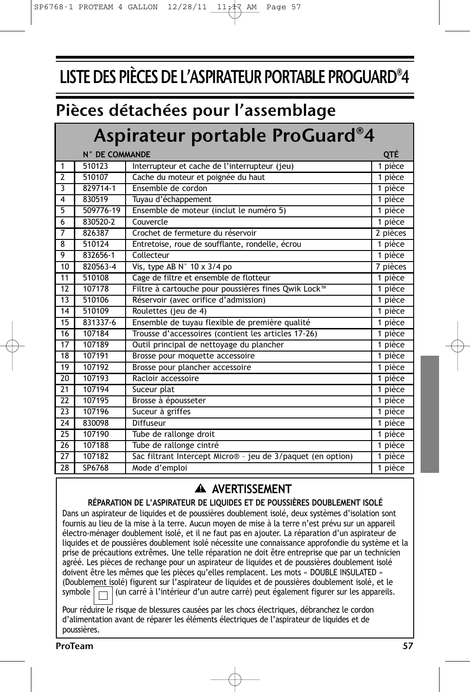## LISTE DES PIÈCES DE L'ASPIRATEUR PORTABLE PROGUARD®4

### Pièces détachées pour l'assemblage

### Aspirateur portable ProGuard®4

|                 | N° DE COMMANDE |                                                             |          |
|-----------------|----------------|-------------------------------------------------------------|----------|
| 1               | 510123         | Interrupteur et cache de l'interrupteur (jeu)               | 1 pièce  |
| $\overline{2}$  | 510107         | Cache du moteur et poignée du haut                          | 1 pièce  |
| 3               | 829714-1       | Ensemble de cordon                                          | 1 pièce  |
| 4               | 830519         | Tuyau d'échappement                                         | 1 pièce  |
| 5               | 509776-19      | Ensemble de moteur (inclut le numéro 5)                     | 1 pièce  |
| 6               | 830520-2       | Couvercle                                                   | 1 pièce  |
| $\overline{7}$  | 826387         | Crochet de fermeture du réservoir                           | 2 pièces |
| 8               | 510124         | Entretoise, roue de soufflante, rondelle, écrou             | 1 pièce  |
| 9               | 832656-1       | Collecteur                                                  | 1 pièce  |
| 10              | 820563-4       | Vis, type AB $N^{\circ}$ 10 x 3/4 po                        | 7 pièces |
| 11              | 510108         | Cage de filtre et ensemble de flotteur                      | 1 pièce  |
| 12              | 107178         | Filtre à cartouche pour poussières fines Qwik Lock™         | 1 pièce  |
| 13              | 510106         | Réservoir (avec orifice d'admission)                        | 1 pièce  |
| 14              | 510109         | Roulettes (jeu de 4)                                        | 1 pièce  |
| 15              | 831337-6       | Ensemble de tuyau flexible de première qualité              | 1 pièce  |
| 16              | 107184         | Trousse d'accessoires (contient les articles 17-26)         | 1 pièce  |
| $\overline{17}$ | 107189         | Outil principal de nettoyage du plancher                    | 1 pièce  |
| 18              | 107191         | Brosse pour moquette accessoire                             | 1 pièce  |
| 19              | 107192         | Brosse pour plancher accessoire                             | 1 pièce  |
| 20              | 107193         | Racloir accessoire                                          | 1 pièce  |
| 21              | 107194         | Suceur plat                                                 | 1 pièce  |
| 22              | 107195         | Brosse à épousseter                                         | 1 pièce  |
| 23              | 107196         | Suceur à griffes                                            | 1 pièce  |
| 24              | 830098         | Diffuseur                                                   | 1 pièce  |
| 25              | 107190         | Tube de rallonge droit                                      | 1 pièce  |
| 26              | 107188         | Tube de rallonge cintré                                     | 1 pièce  |
| 27              | 107182         | Sac filtrant Intercept Micro® - jeu de 3/paquet (en option) | 1 pièce  |
| 28              | SP6768         | Mode d'emploi                                               | 1 pièce  |

### **AVERTISSEMENT !**

### **RÉPARATION DE L'ASPIRATEUR DE LIQUIDES ET DE POUSSIÈRES DOUBLEMENT ISOLÉ**

Dans un aspirateur de liquides et de poussières doublement isolé, deux systèmes d'isolation sont fournis au lieu de la mise à la terre. Aucun moyen de mise à la terre n'est prévu sur un appareil électro-ménager doublement isolé, et il ne faut pas en ajouter. La réparation d'un aspirateur de liquides et de poussières doublement isolé nécessite une connaissance approfondie du système et la prise de précautions extrêmes. Une telle réparation ne doit être entreprise que par un technicien agréé. Les pièces de rechange pour un aspirateur de liquides et de poussières doublement isolé doivent être les mêmes que les pièces qu'elles remplacent. Les mots « DOUBLE INSULATED » (Doublement isolé) figurent sur l'aspirateur de liquides et de poussières doublement isolé, et le<br>symbole  $\Box$  (un carré à l'intérieur d'un autre carré) peut également figurer sur les appareils. (un carré à l'intérieur d'un autre carré) peut également figurer sur les appareils.

Pour réduire le risque de blessures causées par les chocs électriques, débranchez le cordon d'alimentation avant de réparer les éléments électriques de l'aspirateur de liquides et de poussières.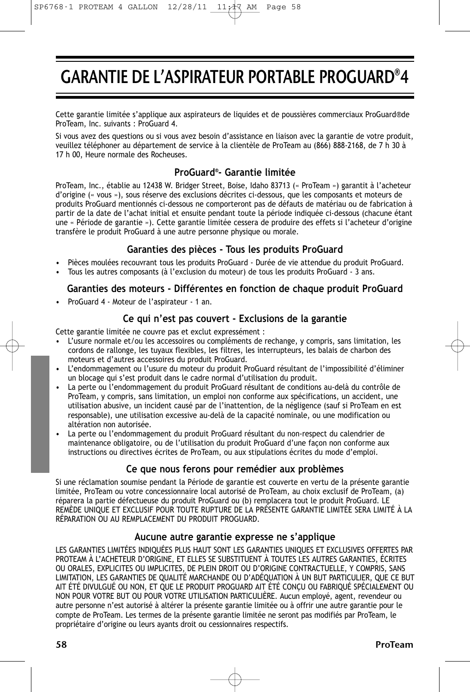### GARANTIE DE L'ASPIRATEUR PORTABLE PROGUARD®4

Cette garantie limitée s'applique aux aspirateurs de liquides et de poussières commerciaux ProGuard®de ProTeam, Inc. suivants : ProGuard 4.

Si vous avez des questions ou si vous avez besoin d'assistance en liaison avec la garantie de votre produit, veuillez téléphoner au département de service à la clientèle de ProTeam au (866) 888-2168, de 7 h 30 à 17 h 00, Heure normale des Rocheuses.

#### **ProGuard® - Garantie limitée**

ProTeam, Inc., établie au 12438 W. Bridger Street, Boise, Idaho 83713 (« ProTeam ») garantit à l'acheteur d'origine (« vous »), sous réserve des exclusions décrites ci-dessous, que les composants et moteurs de produits ProGuard mentionnés ci-dessous ne comporteront pas de défauts de matériau ou de fabrication à partir de la date de l'achat initial et ensuite pendant toute la période indiquée ci-dessous (chacune étant une « Période de garantie »). Cette garantie limitée cessera de produire des effets si l'acheteur d'origine transfère le produit ProGuard à une autre personne physique ou morale.

#### **Garanties des pièces - Tous les produits ProGuard**

- Pièces moulées recouvrant tous les produits ProGuard Durée de vie attendue du produit ProGuard.
- Tous les autres composants (à l'exclusion du moteur) de tous les produits ProGuard 3 ans.

#### **Garanties des moteurs - Différentes en fonction de chaque produit ProGuard**

• ProGuard 4 - Moteur de l'aspirateur - 1 an.

#### **Ce qui n'est pas couvert - Exclusions de la garantie**

Cette garantie limitée ne couvre pas et exclut expressément :

- L'usure normale et/ou les accessoires ou compléments de rechange, y compris, sans limitation, les cordons de rallonge, les tuyaux flexibles, les filtres, les interrupteurs, les balais de charbon des moteurs et d'autres accessoires du produit ProGuard.
- L'endommagement ou l'usure du moteur du produit ProGuard résultant de l'impossibilité d'éliminer un blocage qui s'est produit dans le cadre normal d'utilisation du produit.
- La perte ou l'endommagement du produit ProGuard résultant de conditions au-delà du contrôle de ProTeam, y compris, sans limitation, un emploi non conforme aux spécifications, un accident, une utilisation abusive, un incident causé par de l'inattention, de la négligence (sauf si ProTeam en est responsable), une utilisation excessive au-delà de la capacité nominale, ou une modification ou altération non autorisée.
- La perte ou l'endommagement du produit ProGuard résultant du non-respect du calendrier de maintenance obligatoire, ou de l'utilisation du produit ProGuard d'une façon non conforme aux instructions ou directives écrites de ProTeam, ou aux stipulations écrites du mode d'emploi.

#### **Ce que nous ferons pour remédier aux problèmes**

Si une réclamation soumise pendant la Période de garantie est couverte en vertu de la présente garantie limitée, ProTeam ou votre concessionnaire local autorisé de ProTeam, au choix exclusif de ProTeam, (a) réparera la partie défectueuse du produit ProGuard ou (b) remplacera tout le produit ProGuard. LE REMÈDE UNIQUE ET EXCLUSIF POUR TOUTE RUPTURE DE LA PRÉSENTE GARANTIE LIMITÉE SERA LIMITÉ À LA RÉPARATION OU AU REMPLACEMENT DU PRODUIT PROGUARD.

#### **Aucune autre garantie expresse ne s'applique**

LES GARANTIES LIMITÉES INDIQUÉES PLUS HAUT SONT LES GARANTIES UNIQUES ET EXCLUSIVES OFFERTES PAR PROTEAM À L'ACHETEUR D'ORIGINE, ET ELLES SE SUBSTITUENT À TOUTES LES AUTRES GARANTIES, ÉCRITES OU ORALES, EXPLICITES OU IMPLICITES, DE PLEIN DROIT OU D'ORIGINE CONTRACTUELLE, Y COMPRIS, SANS LIMITATION, LES GARANTIES DE QUALITÉ MARCHANDE OU D'ADÉQUATION À UN BUT PARTICULIER, QUE CE BUT AIT ÉTÉ DIVULGUÉ OU NON, ET QUE LE PRODUIT PROGUARD AIT ÉTÉ CONÇU OU FABRIQUÉ SPÉCIALEMENT OU NON POUR VOTRE BUT OU POUR VOTRE UTILISATION PARTICULIÈRE. Aucun employé, agent, revendeur ou autre personne n'est autorisé à altérer la présente garantie limitée ou à offrir une autre garantie pour le compte de ProTeam. Les termes de la présente garantie limitée ne seront pas modifiés par ProTeam, le propriétaire d'origine ou leurs ayants droit ou cessionnaires respectifs.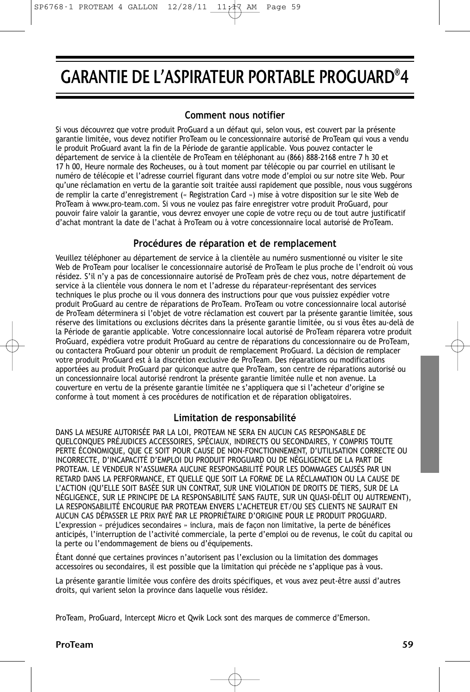### GARANTIE DE L'ASPIRATEUR PORTABLE PROGUARD®4

#### **Comment nous notifier**

Si vous découvrez que votre produit ProGuard a un défaut qui, selon vous, est couvert par la présente garantie limitée, vous devez notifier ProTeam ou le concessionnaire autorisé de ProTeam qui vous a vendu le produit ProGuard avant la fin de la Période de garantie applicable. Vous pouvez contacter le département de service à la clientèle de ProTeam en téléphonant au (866) 888-2168 entre 7 h 30 et 17 h 00, Heure normale des Rocheuses, ou à tout moment par télécopie ou par courriel en utilisant le numéro de télécopie et l'adresse courriel figurant dans votre mode d'emploi ou sur notre site Web. Pour qu'une réclamation en vertu de la garantie soit traitée aussi rapidement que possible, nous vous suggérons de remplir la carte d'enregistrement (« Registration Card ») mise à votre disposition sur le site Web de ProTeam à www.pro-team.com. Si vous ne voulez pas faire enregistrer votre produit ProGuard, pour pouvoir faire valoir la garantie, vous devrez envoyer une copie de votre reçu ou de tout autre justificatif d'achat montrant la date de l'achat à ProTeam ou à votre concessionnaire local autorisé de ProTeam.

#### **Procédures de réparation et de remplacement**

Veuillez téléphoner au département de service à la clientèle au numéro susmentionné ou visiter le site Web de ProTeam pour localiser le concessionnaire autorisé de ProTeam le plus proche de l'endroit où vous résidez. S'il n'y a pas de concessionnaire autorisé de ProTeam près de chez vous, notre département de service à la clientèle vous donnera le nom et l'adresse du réparateur-représentant des services techniques le plus proche ou il vous donnera des instructions pour que vous puissiez expédier votre produit ProGuard au centre de réparations de ProTeam. ProTeam ou votre concessionnaire local autorisé de ProTeam déterminera si l'objet de votre réclamation est couvert par la présente garantie limitée, sous réserve des limitations ou exclusions décrites dans la présente garantie limitée, ou si vous êtes au-delà de la Période de garantie applicable. Votre concessionnaire local autorisé de ProTeam réparera votre produit ProGuard, expédiera votre produit ProGuard au centre de réparations du concessionnaire ou de ProTeam, ou contactera ProGuard pour obtenir un produit de remplacement ProGuard. La décision de remplacer votre produit ProGuard est à la discrétion exclusive de ProTeam. Des réparations ou modifications apportées au produit ProGuard par quiconque autre que ProTeam, son centre de réparations autorisé ou un concessionnaire local autorisé rendront la présente garantie limitée nulle et non avenue. La couverture en vertu de la présente garantie limitée ne s'appliquera que si l'acheteur d'origine se conforme à tout moment à ces procédures de notification et de réparation obligatoires.

#### **Limitation de responsabilité**

DANS LA MESURE AUTORISÉE PAR LA LOI, PROTEAM NE SERA EN AUCUN CAS RESPONSABLE DE QUELCONQUES PRÉJUDICES ACCESSOIRES, SPÉCIAUX, INDIRECTS OU SECONDAIRES, Y COMPRIS TOUTE PERTE ÉCONOMIQUE, QUE CE SOIT POUR CAUSE DE NON-FONCTIONNEMENT, D'UTILISATION CORRECTE OU INCORRECTE, D'INCAPACITÉ D'EMPLOI DU PRODUIT PROGUARD OU DE NÉGLIGENCE DE LA PART DE PROTEAM. LE VENDEUR N'ASSUMERA AUCUNE RESPONSABILITÉ POUR LES DOMMAGES CAUSÉS PAR UN RETARD DANS LA PERFORMANCE, ET QUELLE QUE SOIT LA FORME DE LA RÉCLAMATION OU LA CAUSE DE L'ACTION (QU'ELLE SOIT BASÉE SUR UN CONTRAT, SUR UNE VIOLATION DE DROITS DE TIERS, SUR DE LA NÉGLIGENCE, SUR LE PRINCIPE DE LA RESPONSABILITÉ SANS FAUTE, SUR UN QUASI-DÉLIT OU AUTREMENT), LA RESPONSABILITÉ ENCOURUE PAR PROTEAM ENVERS L'ACHETEUR ET/OU SES CLIENTS NE SAURAIT EN AUCUN CAS DÉPASSER LE PRIX PAYÉ PAR LE PROPRIÉTAIRE D'ORIGINE POUR LE PRODUIT PROGUARD. L'expression « préjudices secondaires » inclura, mais de façon non limitative, la perte de bénéfices anticipés, l'interruption de l'activité commerciale, la perte d'emploi ou de revenus, le coût du capital ou la perte ou l'endommagement de biens ou d'équipements.

Étant donné que certaines provinces n'autorisent pas l'exclusion ou la limitation des dommages accessoires ou secondaires, il est possible que la limitation qui précède ne s'applique pas à vous.

La présente garantie limitée vous confère des droits spécifiques, et vous avez peut-être aussi d'autres droits, qui varient selon la province dans laquelle vous résidez.

ProTeam, ProGuard, Intercept Micro et Qwik Lock sont des marques de commerce d'Emerson.